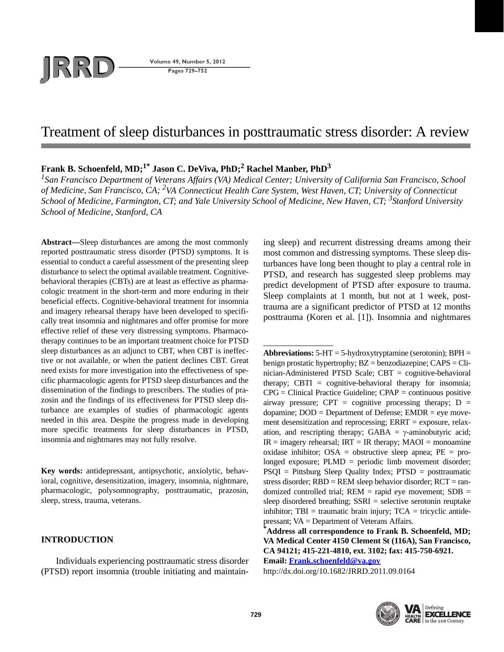# **JRD Volume 49, Number 5, 2012**<br>Pages 729–752

**Pages 729–752**

# Treatment of sleep disturbances in posttraumatic stress disorder: A review

## **Frank B. Schoenfeld, MD;1\* Jason C. DeViva, PhD;2 Rachel Manber, PhD3**

*1 San Francisco Department of Veterans Affairs (VA) Medical Center; University of California San Francisco, School of Medicine, San Francisco, CA; 2 VA Connecticut Health Care System, West Haven, CT; University of Connecticut School of Medicine, Farmington, CT; and Yale University School of Medicine, New Haven, CT; 3Stanford University School of Medicine, Stanford, CA*

**Abstract—**Sleep disturbances are among the most commonly reported posttraumatic stress disorder (PTSD) symptoms. It is essential to conduct a careful assessment of the presenting sleep disturbance to select the optimal available treatment. Cognitivebehavioral therapies (CBTs) are at least as effective as pharmacologic treatment in the short-term and more enduring in their beneficial effects. Cognitive-behavioral treatment for insomnia and imagery rehearsal therapy have been developed to specifically treat insomnia and nightmares and offer promise for more effective relief of these very distressing symptoms. Pharmacotherapy continues to be an important treatment choice for PTSD sleep disturbances as an adjunct to CBT, when CBT is ineffective or not available, or when the patient declines CBT. Great need exists for more investigation into the effectiveness of specific pharmacologic agents for PTSD sleep disturbances and the dissemination of the findings to prescribers. The studies of prazosin and the findings of its effectiveness for PTSD sleep disturbance are examples of studies of pharmacologic agents needed in this area. Despite the progress made in developing more specific treatments for sleep disturbances in PTSD, insomnia and nightmares may not fully resolve.

**Key words:** antidepressant, antipsychotic, anxiolytic, behavioral, cognitive, desensitization, imagery, insomnia, nightmare, pharmacologic, polysomnography, posttraumatic, prazosin, sleep, stress, trauma, veterans.

## **INTRODUCTION**

Individuals experiencing posttraumatic stress disorder (PTSD) report insomnia (trouble initiating and maintain-

ing sleep) and recurrent distressing dreams among their most common and distressing symptoms. These sleep disturbances have long been thought to play a central role in PTSD, and research has suggested sleep problems may predict development of PTSD after exposure to trauma. Sleep complaints at 1 month, but not at 1 week, posttrauma are a significant predictor of PTSD at 12 months posttrauma (Koren et al. [1]). Insomnia and nightmares

**Abbreviations:** 5-HT = 5-hydroxytryptamine (serotonin); BPH = benign prostatic hypertrophy;  $BZ = \text{benzodi}$  azepine;  $CAPS = \text{Chi}$ nician-Administered PTSD Scale; CBT = cognitive-behavioral therapy; CBTI = cognitive-behavioral therapy for insomnia; CPG = Clinical Practice Guideline; CPAP = continuous positive airway pressure; CPT = cognitive processing therapy;  $D =$ dopamine;  $DOD = Department of Defense$ ;  $EMDR = eye$  movement desensitization and reprocessing; ERRT = exposure, relaxation, and rescripting therapy; GABA =  $\gamma$ -aminobutyric acid;  $IR =$  imagery rehearsal;  $IRT = IR$  therapy;  $MAOI =$  monoamine oxidase inhibitor;  $OSA =$  obstructive sleep apnea;  $PE =$  prolonged exposure; PLMD = periodic limb movement disorder; PSQI = Pittsburg Sleep Quality Index; PTSD = posttraumatic stress disorder;  $RBD = REM$  sleep behavior disorder;  $RCT = ran$ domized controlled trial;  $REM =$  rapid eye movement;  $SDB =$ sleep disordered breathing; SSRI = selective serotonin reuptake inhibitor;  $TBI = \text{triumatic brain injury}; TCA = \text{tricyclic antide-}$ pressant; VA = Department of Veterans Affairs.

**\* Address all correspondence to Frank B. Schoenfeld, MD; VA Medical Center 4150 Clement St (116A), San Francisco, CA 94121; 415-221-4810, ext. 3102; fax: 415-750-6921. Email: Frank.schoenfeld@va.gov**

http://dx.doi.org/10.1682/JRRD.2011.09.0164

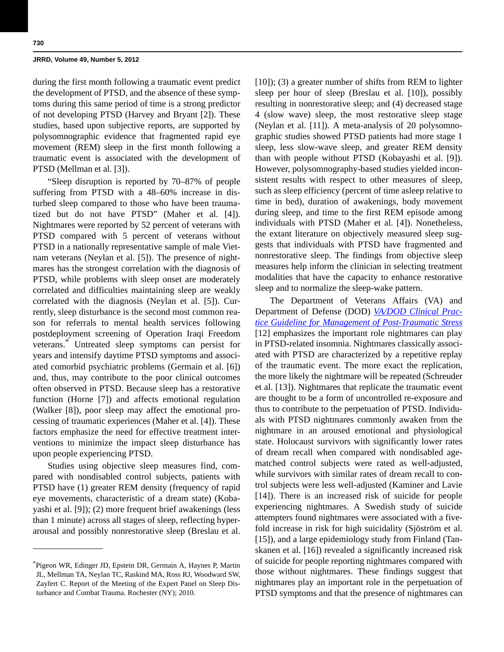during the first month following a traumatic event predict the development of PTSD, and the absence of these symptoms during this same period of time is a strong predictor of not developing PTSD (Harvey and Bryant [2]). These studies, based upon subjective reports, are supported by polysomnographic evidence that fragmented rapid eye movement (REM) sleep in the first month following a traumatic event is associated with the development of PTSD (Mellman et al. [3]).

"Sleep disruption is reported by 70–87% of people suffering from PTSD with a 48–60% increase in disturbed sleep compared to those who have been traumatized but do not have PTSD" (Maher et al. [4]). Nightmares were reported by 52 percent of veterans with PTSD compared with 5 percent of veterans without PTSD in a nationally representative sample of male Vietnam veterans (Neylan et al. [5]). The presence of nightmares has the strongest correlation with the diagnosis of PTSD, while problems with sleep onset are moderately correlated and difficulties maintaining sleep are weakly correlated with the diagnosis (Neylan et al. [5]). Currently, sleep disturbance is the second most common reason for referrals to mental health services following postdeployment screening of Operation Iraqi Freedom veterans.\* Untreated sleep symptoms can persist for years and intensify daytime PTSD symptoms and associated comorbid psychiatric problems (Germain et al. [6]) and, thus, may contribute to the poor clinical outcomes often observed in PTSD. Because sleep has a restorative function (Horne [7]) and affects emotional regulation (Walker [8]), poor sleep may affect the emotional processing of traumatic experiences (Maher et al. [4]). These factors emphasize the need for effective treatment interventions to minimize the impact sleep disturbance has upon people experiencing PTSD.

Studies using objective sleep measures find, compared with nondisabled control subjects, patients with PTSD have (1) greater REM density (frequency of rapid eye movements, characteristic of a dream state) (Kobayashi et al. [9]); (2) more frequent brief awakenings (less than 1 minute) across all stages of sleep, reflecting hyperarousal and possibly nonrestorative sleep (Breslau et al.

[10]); (3) a greater number of shifts from REM to lighter sleep per hour of sleep (Breslau et al. [10]), possibly resulting in nonrestorative sleep; and (4) decreased stage 4 (slow wave) sleep, the most restorative sleep stage (Neylan et al. [11]). A meta-analysis of 20 polysomnographic studies showed PTSD patients had more stage 1 sleep, less slow-wave sleep, and greater REM density than with people without PTSD (Kobayashi et al. [9]). However, polysomnography-based studies yielded inconsistent results with respect to other measures of sleep, such as sleep efficiency (percent of time asleep relative to time in bed), duration of awakenings, body movement during sleep, and time to the first REM episode among individuals with PTSD (Maher et al. [4]). Nonetheless, the extant literature on objectively measured sleep suggests that individuals with PTSD have fragmented and nonrestorative sleep. The findings from objective sleep measures help inform the clinician in selecting treatment modalities that have the capacity to enhance restorative sleep and to normalize the sleep-wake pattern.

The Department of Veterans Affairs (VA) and Department of Defense (DOD) *[VA/DOD Clinical Prac](VADODclinicalguidlines495.pdf)[tice Guideline for Management of Post-Traumatic Stress](VADODclinicalguidlines495.pdf)* [12] emphasizes the important role nightmares can play in PTSD-related insomnia. Nightmares classically associated with PTSD are characterized by a repetitive replay of the traumatic event. The more exact the replication, the more likely the nightmare will be repeated (Schreuder et al. [13]). Nightmares that replicate the traumatic event are thought to be a form of uncontrolled re-exposure and thus to contribute to the perpetuation of PTSD. Individuals with PTSD nightmares commonly awaken from the nightmare in an aroused emotional and physiological state. Holocaust survivors with significantly lower rates of dream recall when compared with nondisabled agematched control subjects were rated as well-adjusted, while survivors with similar rates of dream recall to control subjects were less well-adjusted (Kaminer and Lavie [14]). There is an increased risk of suicide for people experiencing nightmares. A Swedish study of suicide attempters found nightmares were associated with a fivefold increase in risk for high suicidality (Sjöström et al. [15]), and a large epidemiology study from Finland (Tanskanen et al. [16]) revealed a significantly increased risk of suicide for people reporting nightmares compared with those without nightmares. These findings suggest that nightmares play an important role in the perpetuation of PTSD symptoms and that the presence of nightmares can

<sup>\*</sup>Pigeon WR, Edinger JD, Epstein DR, Germain A, Haynes P, Martin JL, Mellman TA, Neylan TC, Raskind MA, Ross RJ, Woodward SW, Zayfert C. Report of the Meeting of the Expert Panel on Sleep Disturbance and Combat Trauma. Rochester (NY); 2010.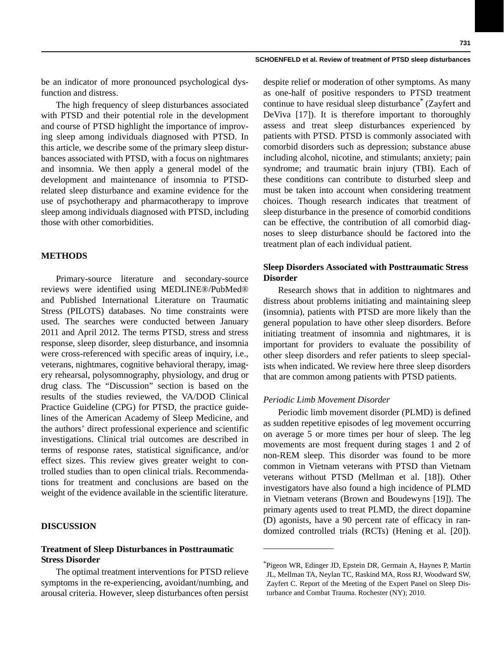be an indicator of more pronounced psychological dysfunction and distress.

The high frequency of sleep disturbances associated with PTSD and their potential role in the development and course of PTSD highlight the importance of improving sleep among individuals diagnosed with PTSD. In this article, we describe some of the primary sleep disturbances associated with PTSD, with a focus on nightmares and insomnia. We then apply a general model of the development and maintenance of insomnia to PTSDrelated sleep disturbance and examine evidence for the use of psychotherapy and pharmacotherapy to improve sleep among individuals diagnosed with PTSD, including those with other comorbidities.

## **METHODS**

Primary-source literature and secondary-source reviews were identified using MEDLINE®/PubMed® and Published International Literature on Traumatic Stress (PILOTS) databases. No time constraints were used. The searches were conducted between January 2011 and April 2012. The terms PTSD, stress and stress response, sleep disorder, sleep disturbance, and insomnia were cross-referenced with specific areas of inquiry, i.e., veterans, nightmares, cognitive behavioral therapy, imagery rehearsal, polysomnography, physiology, and drug or drug class. The "Discussion" section is based on the results of the studies reviewed, the VA/DOD Clinical Practice Guideline (CPG) for PTSD, the practice guidelines of the American Academy of Sleep Medicine, and the authors' direct professional experience and scientific investigations. Clinical trial outcomes are described in terms of response rates, statistical significance, and/or effect sizes. This review gives greater weight to controlled studies than to open clinical trials. Recommendations for treatment and conclusions are based on the weight of the evidence available in the scientific literature.

## **DISCUSSION**

## **Treatment of Sleep Disturbances in Posttraumatic Stress Disorder**

The optimal treatment interventions for PTSD relieve symptoms in the re-experiencing, avoidant/numbing, and arousal criteria. However, sleep disturbances often persist despite relief or moderation of other symptoms. As many as one-half of positive responders to PTSD treatment continue to have residual sleep disturbance\* (Zayfert and DeViva [17]). It is therefore important to thoroughly assess and treat sleep disturbances experienced by patients with PTSD. PTSD is commonly associated with comorbid disorders such as depression; substance abuse including alcohol, nicotine, and stimulants; anxiety; pain syndrome; and traumatic brain injury (TBI). Each of these conditions can contribute to disturbed sleep and must be taken into account when considering treatment choices. Though research indicates that treatment of sleep disturbance in the presence of comorbid conditions can be effective, the contribution of all comorbid diagnoses to sleep disturbance should be factored into the treatment plan of each individual patient.

## **Sleep Disorders Associated with Posttraumatic Stress Disorder**

Research shows that in addition to nightmares and distress about problems initiating and maintaining sleep (insomnia), patients with PTSD are more likely than the general population to have other sleep disorders. Before initiating treatment of insomnia and nightmares, it is important for providers to evaluate the possibility of other sleep disorders and refer patients to sleep specialists when indicated. We review here three sleep disorders that are common among patients with PTSD patients.

## *Periodic Limb Movement Disorder*

Periodic limb movement disorder (PLMD) is defined as sudden repetitive episodes of leg movement occurring on average 5 or more times per hour of sleep. The leg movements are most frequent during stages 1 and 2 of non-REM sleep. This disorder was found to be more common in Vietnam veterans with PTSD than Vietnam veterans without PTSD (Mellman et al. [18]). Other investigators have also found a high incidence of PLMD in Vietnam veterans (Brown and Boudewyns [19]). The primary agents used to treat PLMD, the direct dopamine (D) agonists, have a 90 percent rate of efficacy in randomized controlled trials (RCTs) (Hening et al. [20]).

<sup>\*</sup>Pigeon WR, Edinger JD, Epstein DR, Germain A, Haynes P, Martin JL, Mellman TA, Neylan TC, Raskind MA, Ross RJ, Woodward SW, Zayfert C. Report of the Meeting of the Expert Panel on Sleep Disturbance and Combat Trauma. Rochester (NY); 2010.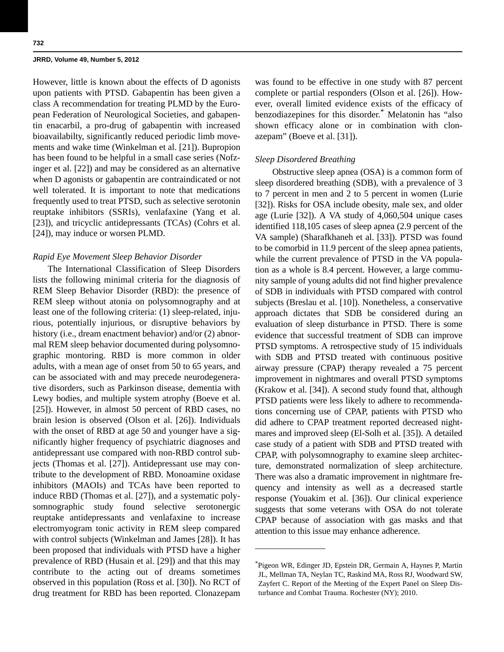However, little is known about the effects of D agonists upon patients with PTSD. Gabapentin has been given a class A recommendation for treating PLMD by the European Federation of Neurological Societies, and gabapentin enacarbil, a pro-drug of gabapentin with increased bioavailabilty, significantly reduced periodic limb movements and wake time (Winkelman et al. [21]). Bupropion has been found to be helpful in a small case series (Nofzinger et al. [22]) and may be considered as an alternative when D agonists or gabapentin are contraindicated or not well tolerated. It is important to note that medications frequently used to treat PTSD, such as selective serotonin reuptake inhibitors (SSRIs), venlafaxine (Yang et al. [23]), and tricyclic antidepressants (TCAs) (Cohrs et al. [24]), may induce or worsen PLMD.

## *Rapid Eye Movement Sleep Behavior Disorder*

The International Classification of Sleep Disorders lists the following minimal criteria for the diagnosis of REM Sleep Behavior Disorder (RBD): the presence of REM sleep without atonia on polysomnography and at least one of the following criteria: (1) sleep-related, injurious, potentially injurious, or disruptive behaviors by history (i.e., dream enactment behavior) and/or (2) abnormal REM sleep behavior documented during polysomnographic montoring. RBD is more common in older adults, with a mean age of onset from 50 to 65 years, and can be associated with and may precede neurodegenerative disorders, such as Parkinson disease, dementia with Lewy bodies, and multiple system atrophy (Boeve et al. [25]). However, in almost 50 percent of RBD cases, no brain lesion is observed (Olson et al. [26]). Individuals with the onset of RBD at age 50 and younger have a significantly higher frequency of psychiatric diagnoses and antidepressant use compared with non-RBD control subjects (Thomas et al. [27]). Antidepressant use may contribute to the development of RBD. Monoamine oxidase inhibitors (MAOIs) and TCAs have been reported to induce RBD (Thomas et al. [27]), and a systematic polysomnographic study found selective serotonergic reuptake antidepressants and venlafaxine to increase electromyogram tonic activity in REM sleep compared with control subjects (Winkelman and James [28]). It has been proposed that individuals with PTSD have a higher prevalence of RBD (Husain et al. [29]) and that this may contribute to the acting out of dreams sometimes observed in this population (Ross et al. [30]). No RCT of drug treatment for RBD has been reported. Clonazepam

was found to be effective in one study with 87 percent complete or partial responders (Olson et al. [26]). However, overall limited evidence exists of the efficacy of benzodiazepines for this disorder.\* Melatonin has "also shown efficacy alone or in combination with clonazepam" (Boeve et al. [31]).

## *Sleep Disordered Breathing*

 Obstructive sleep apnea (OSA) is a common form of sleep disordered breathing (SDB), with a prevalence of 3 to 7 percent in men and 2 to 5 percent in women (Lurie [32]). Risks for OSA include obesity, male sex, and older age (Lurie [32]). A VA study of 4,060,504 unique cases identified 118,105 cases of sleep apnea (2.9 percent of the VA sample) (Sharafkhaneh et al. [33]). PTSD was found to be comorbid in 11.9 percent of the sleep apnea patients, while the current prevalence of PTSD in the VA population as a whole is 8.4 percent. However, a large community sample of young adults did not find higher prevalence of SDB in individuals with PTSD compared with control subjects (Breslau et al. [10]). Nonetheless, a conservative approach dictates that SDB be considered during an evaluation of sleep disturbance in PTSD. There is some evidence that successful treatment of SDB can improve PTSD symptoms. A retrospective study of 15 individuals with SDB and PTSD treated with continuous positive airway pressure (CPAP) therapy revealed a 75 percent improvement in nightmares and overall PTSD symptoms (Krakow et al. [34]). A second study found that, although PTSD patients were less likely to adhere to recommendations concerning use of CPAP, patients with PTSD who did adhere to CPAP treatment reported decreased nightmares and improved sleep (El-Solh et al. [35]). A detailed case study of a patient with SDB and PTSD treated with CPAP, with polysomnography to examine sleep architecture, demonstrated normalization of sleep architecture. There was also a dramatic improvement in nightmare frequency and intensity as well as a decreased startle response (Youakim et al. [36]). Our clinical experience suggests that some veterans with OSA do not tolerate CPAP because of association with gas masks and that attention to this issue may enhance adherence.

<sup>\*</sup>Pigeon WR, Edinger JD, Epstein DR, Germain A, Haynes P, Martin JL, Mellman TA, Neylan TC, Raskind MA, Ross RJ, Woodward SW, Zayfert C. Report of the Meeting of the Expert Panel on Sleep Disturbance and Combat Trauma. Rochester (NY); 2010.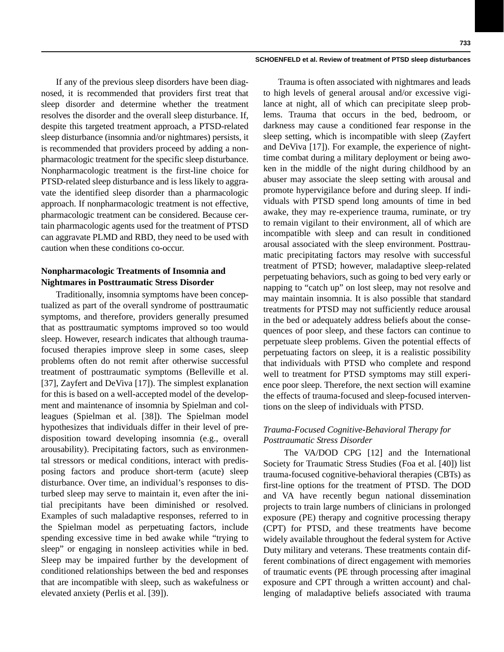If any of the previous sleep disorders have been diagnosed, it is recommended that providers first treat that sleep disorder and determine whether the treatment resolves the disorder and the overall sleep disturbance. If, despite this targeted treatment approach, a PTSD-related sleep disturbance (insomnia and/or nightmares) persists, it is recommended that providers proceed by adding a nonpharmacologic treatment for the specific sleep disturbance. Nonpharmacologic treatment is the first-line choice for PTSD-related sleep disturbance and is less likely to aggravate the identified sleep disorder than a pharmacologic approach. If nonpharmacologic treatment is not effective, pharmacologic treatment can be considered. Because certain pharmacologic agents used for the treatment of PTSD can aggravate PLMD and RBD, they need to be used with caution when these conditions co-occur.

## **Nonpharmacologic Treatments of Insomnia and Nightmares in Posttraumatic Stress Disorder**

Traditionally, insomnia symptoms have been conceptualized as part of the overall syndrome of posttraumatic symptoms, and therefore, providers generally presumed that as posttraumatic symptoms improved so too would sleep. However, research indicates that although traumafocused therapies improve sleep in some cases, sleep problems often do not remit after otherwise successful treatment of posttraumatic symptoms (Belleville et al. [37], Zayfert and DeViva [17]). The simplest explanation for this is based on a well-accepted model of the development and maintenance of insomnia by Spielman and colleagues (Spielman et al. [38]). The Spielman model hypothesizes that individuals differ in their level of predisposition toward developing insomnia (e.g., overall arousability). Precipitating factors, such as environmental stressors or medical conditions, interact with predisposing factors and produce short-term (acute) sleep disturbance. Over time, an individual's responses to disturbed sleep may serve to maintain it, even after the initial precipitants have been diminished or resolved. Examples of such maladaptive responses, referred to in the Spielman model as perpetuating factors, include spending excessive time in bed awake while "trying to sleep" or engaging in nonsleep activities while in bed. Sleep may be impaired further by the development of conditioned relationships between the bed and responses that are incompatible with sleep, such as wakefulness or elevated anxiety (Perlis et al. [39]).

Trauma is often associated with nightmares and leads to high levels of general arousal and/or excessive vigilance at night, all of which can precipitate sleep problems. Trauma that occurs in the bed, bedroom, or darkness may cause a conditioned fear response in the sleep setting, which is incompatible with sleep (Zayfert and DeViva [17]). For example, the experience of nighttime combat during a military deployment or being awoken in the middle of the night during childhood by an abuser may associate the sleep setting with arousal and promote hypervigilance before and during sleep. If individuals with PTSD spend long amounts of time in bed awake, they may re-experience trauma, ruminate, or try to remain vigilant to their environment, all of which are incompatible with sleep and can result in conditioned arousal associated with the sleep environment. Posttraumatic precipitating factors may resolve with successful treatment of PTSD; however, maladaptive sleep-related perpetuating behaviors, such as going to bed very early or napping to "catch up" on lost sleep, may not resolve and may maintain insomnia. It is also possible that standard treatments for PTSD may not sufficiently reduce arousal in the bed or adequately address beliefs about the consequences of poor sleep, and these factors can continue to perpetuate sleep problems. Given the potential effects of perpetuating factors on sleep, it is a realistic possibility that individuals with PTSD who complete and respond well to treatment for PTSD symptoms may still experience poor sleep. Therefore, the next section will examine the effects of trauma-focused and sleep-focused interventions on the sleep of individuals with PTSD.

## *Trauma-Focused Cognitive-Behavioral Therapy for Posttraumatic Stress Disorder*

 The VA/DOD CPG [12] and the International Society for Traumatic Stress Studies (Foa et al. [40]) list trauma-focused cognitive-behavioral therapies (CBTs) as first-line options for the treatment of PTSD. The DOD and VA have recently begun national dissemination projects to train large numbers of clinicians in prolonged exposure (PE) therapy and cognitive processing therapy (CPT) for PTSD, and these treatments have become widely available throughout the federal system for Active Duty military and veterans. These treatments contain different combinations of direct engagement with memories of traumatic events (PE through processing after imaginal exposure and CPT through a written account) and challenging of maladaptive beliefs associated with trauma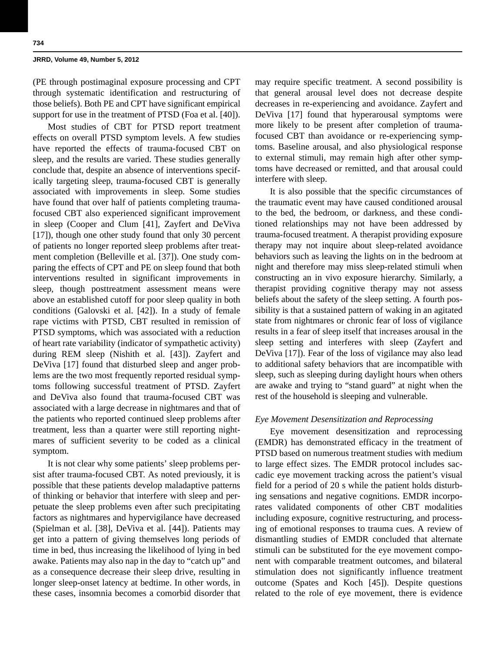(PE through postimaginal exposure processing and CPT through systematic identification and restructuring of those beliefs). Both PE and CPT have significant empirical support for use in the treatment of PTSD (Foa et al. [40]).

Most studies of CBT for PTSD report treatment effects on overall PTSD symptom levels. A few studies have reported the effects of trauma-focused CBT on sleep, and the results are varied. These studies generally conclude that, despite an absence of interventions specifically targeting sleep, trauma-focused CBT is generally associated with improvements in sleep. Some studies have found that over half of patients completing traumafocused CBT also experienced significant improvement in sleep (Cooper and Clum [41], Zayfert and DeViva [17]), though one other study found that only 30 percent of patients no longer reported sleep problems after treatment completion (Belleville et al. [37]). One study comparing the effects of CPT and PE on sleep found that both interventions resulted in significant improvements in sleep, though posttreatment assessment means were above an established cutoff for poor sleep quality in both conditions (Galovski et al. [42]). In a study of female rape victims with PTSD, CBT resulted in remission of PTSD symptoms, which was associated with a reduction of heart rate variability (indicator of sympathetic activity) during REM sleep (Nishith et al. [43]). Zayfert and DeViva [17] found that disturbed sleep and anger problems are the two most frequently reported residual symptoms following successful treatment of PTSD. Zayfert and DeViva also found that trauma-focused CBT was associated with a large decrease in nightmares and that of the patients who reported continued sleep problems after treatment, less than a quarter were still reporting nightmares of sufficient severity to be coded as a clinical symptom.

It is not clear why some patients' sleep problems persist after trauma-focused CBT. As noted previously, it is possible that these patients develop maladaptive patterns of thinking or behavior that interfere with sleep and perpetuate the sleep problems even after such precipitating factors as nightmares and hypervigilance have decreased (Spielman et al. [38], DeViva et al. [44]). Patients may get into a pattern of giving themselves long periods of time in bed, thus increasing the likelihood of lying in bed awake. Patients may also nap in the day to "catch up" and as a consequence decrease their sleep drive, resulting in longer sleep-onset latency at bedtime. In other words, in these cases, insomnia becomes a comorbid disorder that may require specific treatment. A second possibility is that general arousal level does not decrease despite decreases in re-experiencing and avoidance. Zayfert and DeViva [17] found that hyperarousal symptoms were more likely to be present after completion of traumafocused CBT than avoidance or re-experiencing symptoms. Baseline arousal, and also physiological response to external stimuli, may remain high after other symptoms have decreased or remitted, and that arousal could interfere with sleep.

It is also possible that the specific circumstances of the traumatic event may have caused conditioned arousal to the bed, the bedroom, or darkness, and these conditioned relationships may not have been addressed by trauma-focused treatment. A therapist providing exposure therapy may not inquire about sleep-related avoidance behaviors such as leaving the lights on in the bedroom at night and therefore may miss sleep-related stimuli when constructing an in vivo exposure hierarchy. Similarly, a therapist providing cognitive therapy may not assess beliefs about the safety of the sleep setting. A fourth possibility is that a sustained pattern of waking in an agitated state from nightmares or chronic fear of loss of vigilance results in a fear of sleep itself that increases arousal in the sleep setting and interferes with sleep (Zayfert and DeViva [17]). Fear of the loss of vigilance may also lead to additional safety behaviors that are incompatible with sleep, such as sleeping during daylight hours when others are awake and trying to "stand guard" at night when the rest of the household is sleeping and vulnerable.

## *Eye Movement Desensitization and Reprocessing*

Eye movement desensitization and reprocessing (EMDR) has demonstrated efficacy in the treatment of PTSD based on numerous treatment studies with medium to large effect sizes. The EMDR protocol includes saccadic eye movement tracking across the patient's visual field for a period of 20 s while the patient holds disturbing sensations and negative cognitions. EMDR incorporates validated components of other CBT modalities including exposure, cognitive restructuring, and processing of emotional responses to trauma cues. A review of dismantling studies of EMDR concluded that alternate stimuli can be substituted for the eye movement component with comparable treatment outcomes, and bilateral stimulation does not significantly influence treatment outcome (Spates and Koch [45]). Despite questions related to the role of eye movement, there is evidence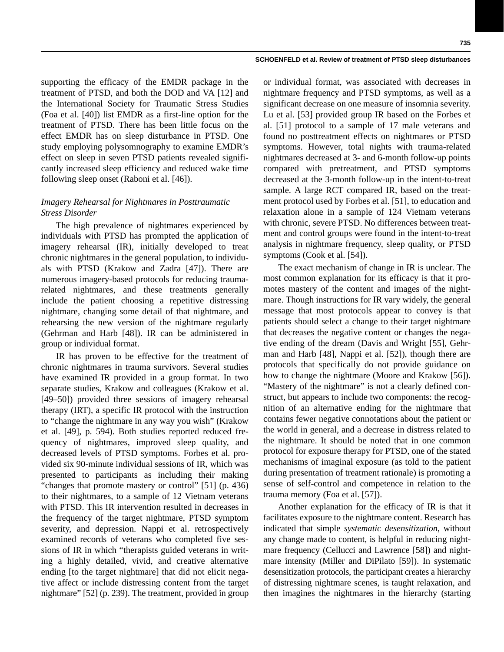supporting the efficacy of the EMDR package in the treatment of PTSD, and both the DOD and VA [12] and the International Society for Traumatic Stress Studies (Foa et al. [40]) list EMDR as a first-line option for the treatment of PTSD. There has been little focus on the effect EMDR has on sleep disturbance in PTSD. One study employing polysomnography to examine EMDR's effect on sleep in seven PTSD patients revealed significantly increased sleep efficiency and reduced wake time following sleep onset (Raboni et al. [46]).

## *Imagery Rehearsal for Nightmares in Posttraumatic Stress Disorder*

The high prevalence of nightmares experienced by individuals with PTSD has prompted the application of imagery rehearsal (IR), initially developed to treat chronic nightmares in the general population, to individuals with PTSD (Krakow and Zadra [47]). There are numerous imagery-based protocols for reducing traumarelated nightmares, and these treatments generally include the patient choosing a repetitive distressing nightmare, changing some detail of that nightmare, and rehearsing the new version of the nightmare regularly (Gehrman and Harb [48]). IR can be administered in group or individual format.

IR has proven to be effective for the treatment of chronic nightmares in trauma survivors. Several studies have examined IR provided in a group format. In two separate studies, Krakow and colleagues (Krakow et al. [49–50]) provided three sessions of imagery rehearsal therapy (IRT), a specific IR protocol with the instruction to "change the nightmare in any way you wish" (Krakow et al. [49], p. 594). Both studies reported reduced frequency of nightmares, improved sleep quality, and decreased levels of PTSD symptoms. Forbes et al. provided six 90-minute individual sessions of IR, which was presented to participants as including their making "changes that promote mastery or control" [51] (p. 436) to their nightmares, to a sample of 12 Vietnam veterans with PTSD. This IR intervention resulted in decreases in the frequency of the target nightmare, PTSD symptom severity, and depression. Nappi et al. retrospectively examined records of veterans who completed five sessions of IR in which "therapists guided veterans in writing a highly detailed, vivid, and creative alternative ending [to the target nightmare] that did not elicit negative affect or include distressing content from the target nightmare" [52] (p. 239). The treatment, provided in group

or individual format, was associated with decreases in nightmare frequency and PTSD symptoms, as well as a significant decrease on one measure of insomnia severity. Lu et al. [53] provided group IR based on the Forbes et al. [51] protocol to a sample of 17 male veterans and found no posttreatment effects on nightmares or PTSD symptoms. However, total nights with trauma-related nightmares decreased at 3- and 6-month follow-up points compared with pretreatment, and PTSD symptoms decreased at the 3-month follow-up in the intent-to-treat sample. A large RCT compared IR, based on the treatment protocol used by Forbes et al. [51], to education and relaxation alone in a sample of 124 Vietnam veterans with chronic, severe PTSD. No differences between treatment and control groups were found in the intent-to-treat analysis in nightmare frequency, sleep quality, or PTSD symptoms (Cook et al. [54]).

The exact mechanism of change in IR is unclear. The most common explanation for its efficacy is that it promotes mastery of the content and images of the nightmare. Though instructions for IR vary widely, the general message that most protocols appear to convey is that patients should select a change to their target nightmare that decreases the negative content or changes the negative ending of the dream (Davis and Wright [55], Gehrman and Harb [48], Nappi et al. [52]), though there are protocols that specifically do not provide guidance on how to change the nightmare (Moore and Krakow [56]). "Mastery of the nightmare" is not a clearly defined construct, but appears to include two components: the recognition of an alternative ending for the nightmare that contains fewer negative connotations about the patient or the world in general, and a decrease in distress related to the nightmare. It should be noted that in one common protocol for exposure therapy for PTSD, one of the stated mechanisms of imaginal exposure (as told to the patient during presentation of treatment rationale) is promoting a sense of self-control and competence in relation to the trauma memory (Foa et al. [57]).

Another explanation for the efficacy of IR is that it facilitates exposure to the nightmare content. Research has indicated that simple *systematic desensitization*, without any change made to content, is helpful in reducing nightmare frequency (Cellucci and Lawrence [58]) and nightmare intensity (Miller and DiPilato [59]). In systematic desensitization protocols, the participant creates a hierarchy of distressing nightmare scenes, is taught relaxation, and then imagines the nightmares in the hierarchy (starting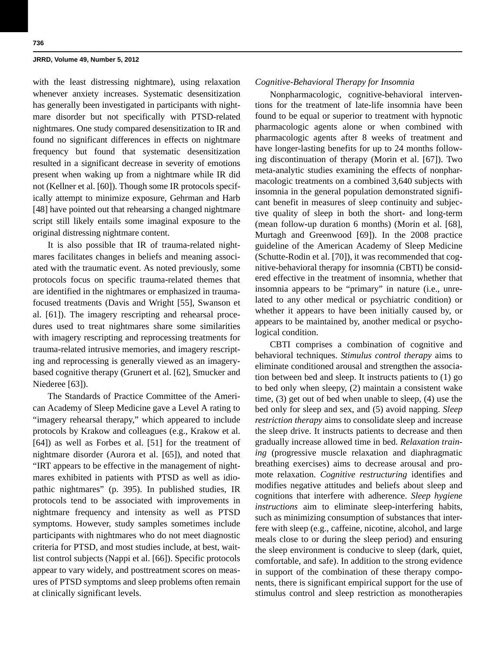with the least distressing nightmare), using relaxation whenever anxiety increases. Systematic desensitization has generally been investigated in participants with nightmare disorder but not specifically with PTSD-related nightmares. One study compared desensitization to IR and found no significant differences in effects on nightmare frequency but found that systematic desensitization resulted in a significant decrease in severity of emotions present when waking up from a nightmare while IR did not (Kellner et al. [60]). Though some IR protocols specifically attempt to minimize exposure, Gehrman and Harb [48] have pointed out that rehearsing a changed nightmare script still likely entails some imaginal exposure to the original distressing nightmare content.

It is also possible that IR of trauma-related nightmares facilitates changes in beliefs and meaning associated with the traumatic event. As noted previously, some protocols focus on specific trauma-related themes that are identified in the nightmares or emphasized in traumafocused treatments (Davis and Wright [55], Swanson et al. [61]). The imagery rescripting and rehearsal procedures used to treat nightmares share some similarities with imagery rescripting and reprocessing treatments for trauma-related intrusive memories, and imagery rescripting and reprocessing is generally viewed as an imagerybased cognitive therapy (Grunert et al. [62], Smucker and Niederee [63]).

The Standards of Practice Committee of the American Academy of Sleep Medicine gave a Level A rating to "imagery rehearsal therapy," which appeared to include protocols by Krakow and colleagues (e.g., Krakow et al. [64]) as well as Forbes et al. [51] for the treatment of nightmare disorder (Aurora et al. [65]), and noted that "IRT appears to be effective in the management of nightmares exhibited in patients with PTSD as well as idiopathic nightmares" (p. 395). In published studies, IR protocols tend to be associated with improvements in nightmare frequency and intensity as well as PTSD symptoms. However, study samples sometimes include participants with nightmares who do not meet diagnostic criteria for PTSD, and most studies include, at best, waitlist control subjects (Nappi et al. [66]). Specific protocols appear to vary widely, and posttreatment scores on measures of PTSD symptoms and sleep problems often remain at clinically significant levels.

## *Cognitive-Behavioral Therapy for Insomnia*

Nonpharmacologic, cognitive-behavioral interventions for the treatment of late-life insomnia have been found to be equal or superior to treatment with hypnotic pharmacologic agents alone or when combined with pharmacologic agents after 8 weeks of treatment and have longer-lasting benefits for up to 24 months following discontinuation of therapy (Morin et al. [67]). Two meta-analytic studies examining the effects of nonpharmacologic treatments on a combined 3,640 subjects with insomnia in the general population demonstrated significant benefit in measures of sleep continuity and subjective quality of sleep in both the short- and long-term (mean follow-up duration 6 months) (Morin et al. [68], Murtagh and Greenwood [69]). In the 2008 practice guideline of the American Academy of Sleep Medicine (Schutte-Rodin et al. [70]), it was recommended that cognitive-behavioral therapy for insomnia (CBTI) be considered effective in the treatment of insomnia, whether that insomnia appears to be "primary" in nature (i.e., unrelated to any other medical or psychiatric condition) or whether it appears to have been initially caused by, or appears to be maintained by, another medical or psychological condition.

CBTI comprises a combination of cognitive and behavioral techniques. *Stimulus control therapy* aims to eliminate conditioned arousal and strengthen the association between bed and sleep. It instructs patients to (1) go to bed only when sleepy, (2) maintain a consistent wake time, (3) get out of bed when unable to sleep, (4) use the bed only for sleep and sex, and (5) avoid napping. *Sleep restriction therapy* aims to consolidate sleep and increase the sleep drive. It instructs patients to decrease and then gradually increase allowed time in bed. *Relaxation training* (progressive muscle relaxation and diaphragmatic breathing exercises) aims to decrease arousal and promote relaxation. *Cognitive restructuring* identifies and modifies negative attitudes and beliefs about sleep and cognitions that interfere with adherence. *Sleep hygiene instructions* aim to eliminate sleep-interfering habits, such as minimizing consumption of substances that interfere with sleep (e.g., caffeine, nicotine, alcohol, and large meals close to or during the sleep period) and ensuring the sleep environment is conducive to sleep (dark, quiet, comfortable, and safe). In addition to the strong evidence in support of the combination of these therapy components, there is significant empirical support for the use of stimulus control and sleep restriction as monotherapies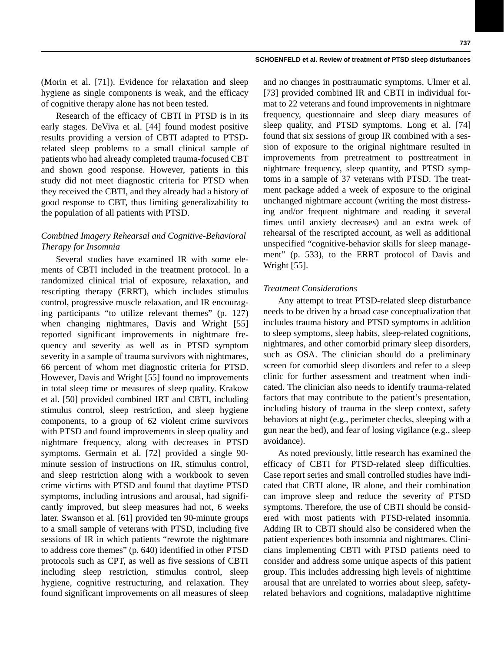(Morin et al. [71]). Evidence for relaxation and sleep hygiene as single components is weak, and the efficacy of cognitive therapy alone has not been tested.

Research of the efficacy of CBTI in PTSD is in its early stages. DeViva et al. [44] found modest positive results providing a version of CBTI adapted to PTSDrelated sleep problems to a small clinical sample of patients who had already completed trauma-focused CBT and shown good response. However, patients in this study did not meet diagnostic criteria for PTSD when they received the CBTI, and they already had a history of good response to CBT, thus limiting generalizability to the population of all patients with PTSD.

## *Combined Imagery Rehearsal and Cognitive-Behavioral Therapy for Insomnia*

Several studies have examined IR with some elements of CBTI included in the treatment protocol. In a randomized clinical trial of exposure, relaxation, and rescripting therapy (ERRT), which includes stimulus control, progressive muscle relaxation, and IR encouraging participants "to utilize relevant themes" (p. 127) when changing nightmares, Davis and Wright [55] reported significant improvements in nightmare frequency and severity as well as in PTSD symptom severity in a sample of trauma survivors with nightmares, 66 percent of whom met diagnostic criteria for PTSD. However, Davis and Wright [55] found no improvements in total sleep time or measures of sleep quality. Krakow et al. [50] provided combined IRT and CBTI, including stimulus control, sleep restriction, and sleep hygiene components, to a group of 62 violent crime survivors with PTSD and found improvements in sleep quality and nightmare frequency, along with decreases in PTSD symptoms. Germain et al. [72] provided a single 90 minute session of instructions on IR, stimulus control, and sleep restriction along with a workbook to seven crime victims with PTSD and found that daytime PTSD symptoms, including intrusions and arousal, had significantly improved, but sleep measures had not, 6 weeks later. Swanson et al. [61] provided ten 90-minute groups to a small sample of veterans with PTSD, including five sessions of IR in which patients "rewrote the nightmare to address core themes" (p. 640) identified in other PTSD protocols such as CPT, as well as five sessions of CBTI including sleep restriction, stimulus control, sleep hygiene, cognitive restructuring, and relaxation. They found significant improvements on all measures of sleep

and no changes in posttraumatic symptoms. Ulmer et al. [73] provided combined IR and CBTI in individual format to 22 veterans and found improvements in nightmare frequency, questionnaire and sleep diary measures of sleep quality, and PTSD symptoms. Long et al. [74] found that six sessions of group IR combined with a session of exposure to the original nightmare resulted in improvements from pretreatment to posttreatment in nightmare frequency, sleep quantity, and PTSD symptoms in a sample of 37 veterans with PTSD. The treatment package added a week of exposure to the original unchanged nightmare account (writing the most distressing and/or frequent nightmare and reading it several times until anxiety decreases) and an extra week of rehearsal of the rescripted account, as well as additional unspecified "cognitive-behavior skills for sleep management" (p. 533), to the ERRT protocol of Davis and Wright [55].

## *Treatment Considerations*

Any attempt to treat PTSD-related sleep disturbance needs to be driven by a broad case conceptualization that includes trauma history and PTSD symptoms in addition to sleep symptoms, sleep habits, sleep-related cognitions, nightmares, and other comorbid primary sleep disorders, such as OSA. The clinician should do a preliminary screen for comorbid sleep disorders and refer to a sleep clinic for further assessment and treatment when indicated. The clinician also needs to identify trauma-related factors that may contribute to the patient's presentation, including history of trauma in the sleep context, safety behaviors at night (e.g., perimeter checks, sleeping with a gun near the bed), and fear of losing vigilance (e.g., sleep avoidance).

As noted previously, little research has examined the efficacy of CBTI for PTSD-related sleep difficulties. Case report series and small controlled studies have indicated that CBTI alone, IR alone, and their combination can improve sleep and reduce the severity of PTSD symptoms. Therefore, the use of CBTI should be considered with most patients with PTSD-related insomnia. Adding IR to CBTI should also be considered when the patient experiences both insomnia and nightmares. Clinicians implementing CBTI with PTSD patients need to consider and address some unique aspects of this patient group. This includes addressing high levels of nighttime arousal that are unrelated to worries about sleep, safetyrelated behaviors and cognitions, maladaptive nighttime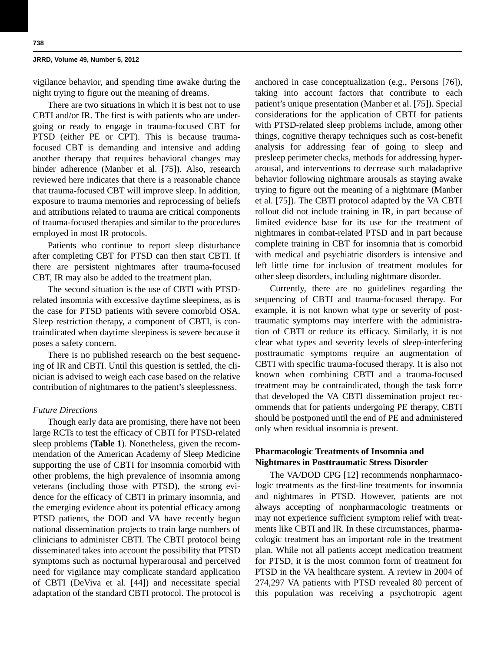vigilance behavior, and spending time awake during the night trying to figure out the meaning of dreams.

There are two situations in which it is best not to use CBTI and/or IR. The first is with patients who are undergoing or ready to engage in trauma-focused CBT for PTSD (either PE or CPT). This is because traumafocused CBT is demanding and intensive and adding another therapy that requires behavioral changes may hinder adherence (Manber et al. [75]). Also, research reviewed here indicates that there is a reasonable chance that trauma-focused CBT will improve sleep. In addition, exposure to trauma memories and reprocessing of beliefs and attributions related to trauma are critical components of trauma-focused therapies and similar to the procedures employed in most IR protocols.

Patients who continue to report sleep disturbance after completing CBT for PTSD can then start CBTI. If there are persistent nightmares after trauma-focused CBT, IR may also be added to the treatment plan.

The second situation is the use of CBTI with PTSDrelated insomnia with excessive daytime sleepiness, as is the case for PTSD patients with severe comorbid OSA. Sleep restriction therapy, a component of CBTI, is contraindicated when daytime sleepiness is severe because it poses a safety concern.

There is no published research on the best sequencing of IR and CBTI. Until this question is settled, the clinician is advised to weigh each case based on the relative contribution of nightmares to the patient's sleeplessness.

## *Future Directions*

Though early data are promising, there have not been large RCTs to test the efficacy of CBTI for PTSD-related sleep problems (**Table 1**). Nonetheless, given the recommendation of the American Academy of Sleep Medicine supporting the use of CBTI for insomnia comorbid with other problems, the high prevalence of insomnia among veterans (including those with PTSD), the strong evidence for the efficacy of CBTI in primary insomnia, and the emerging evidence about its potential efficacy among PTSD patients, the DOD and VA have recently begun national dissemination projects to train large numbers of clinicians to administer CBTI. The CBTI protocol being disseminated takes into account the possibility that PTSD symptoms such as nocturnal hyperarousal and perceived need for vigilance may complicate standard application of CBTI (DeViva et al. [44]) and necessitate special adaptation of the standard CBTI protocol. The protocol is anchored in case conceptualization (e.g., Persons [76]), taking into account factors that contribute to each patient's unique presentation (Manber et al. [75]). Special considerations for the application of CBTI for patients with PTSD-related sleep problems include, among other things, cognitive therapy techniques such as cost-benefit analysis for addressing fear of going to sleep and presleep perimeter checks, methods for addressing hyperarousal, and interventions to decrease such maladaptive behavior following nightmare arousals as staying awake trying to figure out the meaning of a nightmare (Manber et al. [75]). The CBTI protocol adapted by the VA CBTI rollout did not include training in IR, in part because of limited evidence base for its use for the treatment of nightmares in combat-related PTSD and in part because complete training in CBT for insomnia that is comorbid with medical and psychiatric disorders is intensive and left little time for inclusion of treatment modules for other sleep disorders, including nightmare disorder.

Currently, there are no guidelines regarding the sequencing of CBTI and trauma-focused therapy. For example, it is not known what type or severity of posttraumatic symptoms may interfere with the administration of CBTI or reduce its efficacy. Similarly, it is not clear what types and severity levels of sleep-interfering posttraumatic symptoms require an augmentation of CBTI with specific trauma-focused therapy. It is also not known when combining CBTI and a trauma-focused treatment may be contraindicated, though the task force that developed the VA CBTI dissemination project recommends that for patients undergoing PE therapy, CBTI should be postponed until the end of PE and administered only when residual insomnia is present.

## **Pharmacologic Treatments of Insomnia and Nightmares in Posttraumatic Stress Disorder**

The VA/DOD CPG [12] recommends nonpharmacologic treatments as the first-line treatments for insomnia and nightmares in PTSD. However, patients are not always accepting of nonpharmacologic treatments or may not experience sufficient symptom relief with treatments like CBTI and IR. In these circumstances, pharmacologic treatment has an important role in the treatment plan. While not all patients accept medication treatment for PTSD, it is the most common form of treatment for PTSD in the VA healthcare system. A review in 2004 of 274,297 VA patients with PTSD revealed 80 percent of this population was receiving a psychotropic agent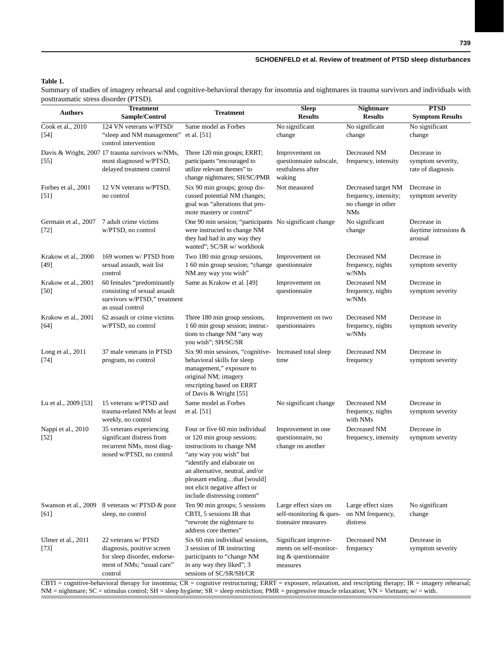## **Table 1.**

Summary of studies of imagery rehearsal and cognitive-behavioral therapy for insomnia and nightmares in trauma survivors and individuals with posttraumatic stress disorder (PTSD).

| <b>Authors</b>                 | <b>Treatment</b><br>Sample/Control                                                                                        | <b>Treatment</b>                                                                                                                                                                                                                                                                                                      | <b>Sleep</b><br><b>Results</b>                                                    | <b>Nightmare</b><br><b>Results</b>                                               | <b>PTSD</b><br><b>Symptom Results</b>                 |
|--------------------------------|---------------------------------------------------------------------------------------------------------------------------|-----------------------------------------------------------------------------------------------------------------------------------------------------------------------------------------------------------------------------------------------------------------------------------------------------------------------|-----------------------------------------------------------------------------------|----------------------------------------------------------------------------------|-------------------------------------------------------|
| Cook et al., 2010              | 124 VN veterans w/PTSD/                                                                                                   | Same model as Forbes                                                                                                                                                                                                                                                                                                  | No significant                                                                    | No significant                                                                   | No significant                                        |
| $[54]$                         | "sleep and NM management"<br>control intervention                                                                         | et al. $[51]$                                                                                                                                                                                                                                                                                                         | change                                                                            | change                                                                           | change                                                |
| $[55]$                         | Davis & Wright, 2007 17 trauma survivors w/NMs,<br>most diagnosed w/PTSD,<br>delayed treatment control                    | Three 120 min groups; ERRT;<br>participants "encouraged to<br>utilize relevant themes" to<br>change nightmares; SH/SC/PMR                                                                                                                                                                                             | Improvement on<br>questionnaire subscale,<br>restfulness after<br>waking          | Decreased NM<br>frequency, intensity                                             | Decrease in<br>symptom severity,<br>rate of diagnosis |
| Forbes et al., 2001<br>[51]    | 12 VN veterans w/PTSD,<br>no control                                                                                      | Six 90 min groups; group dis-<br>cussed potential NM changes;<br>goal was "alterations that pro-<br>mote mastery or control"                                                                                                                                                                                          | Not measured                                                                      | Decreased target NM<br>frequency, intensity;<br>no change in other<br><b>NMs</b> | Decrease in<br>symptom severity                       |
| Germain et al., 2007<br>$[72]$ | 7 adult crime victims<br>w/PTSD, no control                                                                               | One 90 min session; "participants No significant change<br>were instructed to change NM<br>they had had in any way they<br>wanted"; SC/SR w/ workbook                                                                                                                                                                 |                                                                                   | No significant<br>change                                                         | Decrease in<br>daytime intrusions &<br>arousal        |
| Krakow et al., 2000<br>[49]    | 169 women w/ PTSD from<br>sexual assault, wait list<br>control                                                            | Two 180 min group sessions,<br>1 60 min group session; "change questionnaire<br>NM any way you wish"                                                                                                                                                                                                                  | Improvement on                                                                    | Decreased NM<br>frequency, nights<br>w/NMs                                       | Decrease in<br>symptom severity                       |
| Krakow et al., 2001<br>$[50]$  | 60 females "predominantly<br>consisting of sexual assault<br>survivors w/PTSD," treatment<br>as usual control             | Same as Krakow et al. [49]                                                                                                                                                                                                                                                                                            | Improvement on<br>questionnaire                                                   | Decreased NM<br>frequency, nights<br>w/NMs                                       | Decrease in<br>symptom severity                       |
| Krakow et al., 2001<br>[64]    | 62 assault or crime victims<br>w/PTSD, no control                                                                         | Three 180 min group sessions,<br>1 60 min group session; instruc-<br>tions to change NM "any way<br>you wish"; SH/SC/SR                                                                                                                                                                                               | Improvement on two<br>questionnaires                                              | Decreased NM<br>frequency, nights<br>w/NMs                                       | Decrease in<br>symptom severity                       |
| Long et al., 2011<br>$[74]$    | 37 male veterans in PTSD<br>program, no control                                                                           | Six 90 min sessions, "cognitive-<br>behavioral skills for sleep<br>management," exposure to<br>original NM; imagery<br>rescripting based on ERRT<br>of Davis & Wright [55]                                                                                                                                            | Increased total sleep<br>time                                                     | Decreased NM<br>frequency                                                        | Decrease in<br>symptom severity                       |
| Lu et al., 2009 [53]           | 15 veterans w/PTSD and<br>trauma-related NMs at least<br>weekly, no control                                               | Same model as Forbes<br>et al. [51]                                                                                                                                                                                                                                                                                   | No significant change                                                             | Decreased NM<br>frequency, nights<br>with NMs                                    | Decrease in<br>symptom severity                       |
| Nappi et al., 2010<br>$[52]$   | 35 veterans experiencing<br>significant distress from<br>recurrent NMs, most diag-<br>nosed w/PTSD, no control            | Four or five 60 min individual<br>or 120 min group sessions;<br>instructions to change NM<br>"any way you wish" but<br>"identify and elaborate on<br>an alternative, neutral, and/or<br>pleasant endingthat [would]<br>not elicit negative affect or<br>include distressing content"                                  | Improvement in one<br>questionnaire, no<br>change on another                      | Decreased NM<br>frequency, intensity                                             | Decrease in<br>symptom severity                       |
| Swanson et al., 2009<br>[61]   | 8 veterans w/ PTSD & poor<br>sleep, no control                                                                            | Ten 90 min groups; 5 sessions<br>CBTI, 5 sessions IR that<br>"rewrote the nightmare to<br>address core themes"                                                                                                                                                                                                        | Large effect sizes on<br>self-monitoring & ques-<br>tionnaire measures            | Large effect sizes<br>on NM frequency,<br>distress                               | No significant<br>change                              |
| Ulmer et al., 2011<br>$[73]$   | 22 veterans w/ PTSD<br>diagnosis, positive screen<br>for sleep disorder, endorse-<br>ment of NMs; "usual care"<br>control | Six 60 min individual sessions,<br>3 session of IR instructing<br>participants to "change NM<br>in any way they liked"; 3<br>sessions of SC/SR/SH/CR<br>CBTI = cognitive-behavioral therapy for insomnia; CR = cognitive restructuring; ERRT = exposure, relaxation, and rescripting therapy; IR = imagery rehearsal; | Significant improve-<br>ments on self-monitor-<br>ing & questionnaire<br>measures | Decreased NM<br>frequency                                                        | Decrease in<br>symptom severity                       |

 $NM =$  nightmare;  $SC =$  stimulus control;  $SH =$  sleep hygiene;  $SR =$  sleep restriction;  $PMR =$  progressive muscle relaxation;  $VN =$  Vietnam;  $w/ =$  with.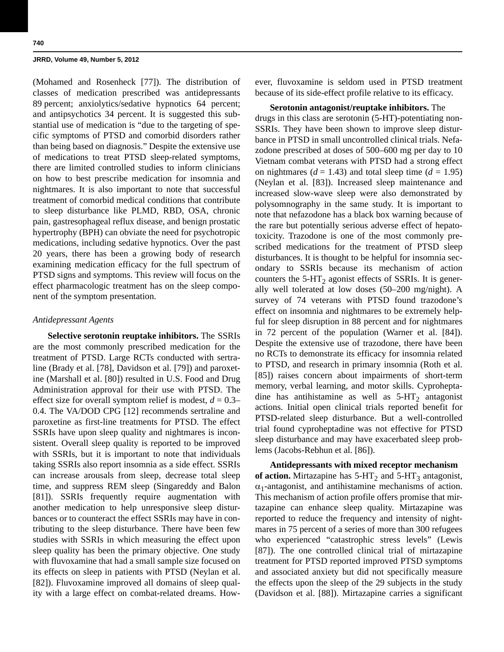(Mohamed and Rosenheck [77]). The distribution of classes of medication prescribed was antidepressants 89 percent; anxiolytics/sedative hypnotics 64 percent; and antipsychotics 34 percent. It is suggested this substantial use of medication is "due to the targeting of specific symptoms of PTSD and comorbid disorders rather than being based on diagnosis." Despite the extensive use of medications to treat PTSD sleep-related symptoms, there are limited controlled studies to inform clinicians on how to best prescribe medication for insomnia and nightmares. It is also important to note that successful treatment of comorbid medical conditions that contribute to sleep disturbance like PLMD, RBD, OSA, chronic pain, gastresophageal reflux disease, and benign prostatic hypertrophy (BPH) can obviate the need for psychotropic medications, including sedative hypnotics. Over the past 20 years, there has been a growing body of research examining medication efficacy for the full spectrum of PTSD signs and symptoms. This review will focus on the effect pharmacologic treatment has on the sleep component of the symptom presentation.

## *Antidepressant Agents*

**Selective serotonin reuptake inhibitors.** The SSRIs are the most commonly prescribed medication for the treatment of PTSD. Large RCTs conducted with sertraline (Brady et al. [78], Davidson et al. [79]) and paroxetine (Marshall et al. [80]) resulted in U.S. Food and Drug Administration approval for their use with PTSD. The effect size for overall symptom relief is modest,  $d = 0.3-$ 0.4. The VA/DOD CPG [12] recommends sertraline and paroxetine as first-line treatments for PTSD. The effect SSRIs have upon sleep quality and nightmares is inconsistent. Overall sleep quality is reported to be improved with SSRIs, but it is important to note that individuals taking SSRIs also report insomnia as a side effect. SSRIs can increase arousals from sleep, decrease total sleep time, and suppress REM sleep (Singareddy and Balon [81]). SSRIs frequently require augmentation with another medication to help unresponsive sleep disturbances or to counteract the effect SSRIs may have in contributing to the sleep disturbance. There have been few studies with SSRIs in which measuring the effect upon sleep quality has been the primary objective. One study with fluvoxamine that had a small sample size focused on its effects on sleep in patients with PTSD (Neylan et al. [82]). Fluvoxamine improved all domains of sleep quality with a large effect on combat-related dreams. However, fluvoxamine is seldom used in PTSD treatment because of its side-effect profile relative to its efficacy.

**Serotonin antagonist/reuptake inhibitors.** The drugs in this class are serotonin (5-HT)-potentiating non-SSRIs. They have been shown to improve sleep disturbance in PTSD in small uncontrolled clinical trials. Nefazodone prescribed at doses of 500–600 mg per day to 10 Vietnam combat veterans with PTSD had a strong effect on nightmares  $(d = 1.43)$  and total sleep time  $(d = 1.95)$ (Neylan et al. [83]). Increased sleep maintenance and increased slow-wave sleep were also demonstrated by polysomnography in the same study. It is important to note that nefazodone has a black box warning because of the rare but potentially serious adverse effect of hepatotoxicity. Trazodone is one of the most commonly prescribed medications for the treatment of PTSD sleep disturbances. It is thought to be helpful for insomnia secondary to SSRIs because its mechanism of action counters the  $5-HT_2$  agonist effects of SSRIs. It is generally well tolerated at low doses (50–200 mg/night). A survey of 74 veterans with PTSD found trazodone's effect on insomnia and nightmares to be extremely helpful for sleep disruption in 88 percent and for nightmares in 72 percent of the population (Warner et al. [84]). Despite the extensive use of trazodone, there have been no RCTs to demonstrate its efficacy for insomnia related to PTSD, and research in primary insomnia (Roth et al. [85]) raises concern about impairments of short-term memory, verbal learning, and motor skills. Cyproheptadine has antihistamine as well as  $5-HT_2$  antagonist actions. Initial open clinical trials reported benefit for PTSD-related sleep disturbance. But a well-controlled trial found cyproheptadine was not effective for PTSD sleep disturbance and may have exacerbated sleep problems (Jacobs-Rebhun et al. [86]).

**Antidepressants with mixed receptor mechanism**  of action. Mirtazapine has  $5-\text{HT}_2$  and  $5-\text{HT}_3$  antagonist,  $\alpha_1$ -antagonist, and antihistamine mechanisms of action. This mechanism of action profile offers promise that mirtazapine can enhance sleep quality. Mirtazapine was reported to reduce the frequency and intensity of nightmares in 75 percent of a series of more than 300 refugees who experienced "catastrophic stress levels" (Lewis [87]). The one controlled clinical trial of mirtazapine treatment for PTSD reported improved PTSD symptoms and associated anxiety but did not specifically measure the effects upon the sleep of the 29 subjects in the study (Davidson et al. [88]). Mirtazapine carries a significant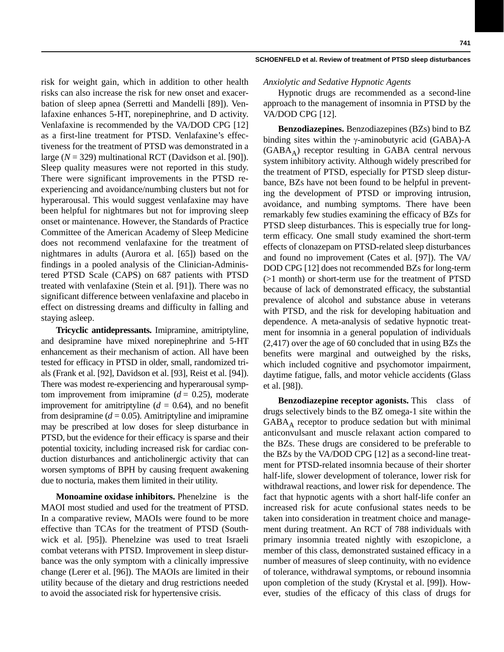risk for weight gain, which in addition to other health risks can also increase the risk for new onset and exacerbation of sleep apnea (Serretti and Mandelli [89]). Venlafaxine enhances 5-HT, norepinephrine, and D activity. Venlafaxine is recommended by the VA/DOD CPG [12] as a first-line treatment for PTSD. Venlafaxine's effectiveness for the treatment of PTSD was demonstrated in a large (*N* = 329) multinational RCT (Davidson et al. [90]). Sleep quality measures were not reported in this study. There were significant improvements in the PTSD reexperiencing and avoidance/numbing clusters but not for hyperarousal. This would suggest venlafaxine may have been helpful for nightmares but not for improving sleep onset or maintenance. However, the Standards of Practice Committee of the American Academy of Sleep Medicine does not recommend venlafaxine for the treatment of nightmares in adults (Aurora et al. [65]) based on the findings in a pooled analysis of the Clinician-Administered PTSD Scale (CAPS) on 687 patients with PTSD treated with venlafaxine (Stein et al. [91]). There was no significant difference between venlafaxine and placebo in effect on distressing dreams and difficulty in falling and staying asleep.

**Tricyclic antidepressants.** Imipramine, amitriptyline, and desipramine have mixed norepinephrine and 5-HT enhancement as their mechanism of action. All have been tested for efficacy in PTSD in older, small, randomized trials (Frank et al. [92], Davidson et al. [93], Reist et al. [94]). There was modest re-experiencing and hyperarousal symptom improvement from imipramine  $(d = 0.25)$ , moderate improvement for amitriptyline  $(d = 0.64)$ , and no benefit from desipramine  $(d = 0.05)$ . Amitriptyline and imipramine may be prescribed at low doses for sleep disturbance in PTSD, but the evidence for their efficacy is sparse and their potential toxicity, including increased risk for cardiac conduction disturbances and anticholinergic activity that can worsen symptoms of BPH by causing frequent awakening due to nocturia, makes them limited in their utility.

**Monoamine oxidase inhibitors.** Phenelzine is the MAOI most studied and used for the treatment of PTSD. In a comparative review, MAOIs were found to be more effective than TCAs for the treatment of PTSD (Southwick et al. [95]). Phenelzine was used to treat Israeli combat veterans with PTSD. Improvement in sleep disturbance was the only symptom with a clinically impressive change (Lerer et al. [96]). The MAOIs are limited in their utility because of the dietary and drug restrictions needed to avoid the associated risk for hypertensive crisis.

#### **SCHOENFELD et al. Review of treatment of PTSD sleep disturbances**

## *Anxiolytic and Sedative Hypnotic Agents*

Hypnotic drugs are recommended as a second-line approach to the management of insomnia in PTSD by the VA/DOD CPG [12].

**Benzodiazepines.** Benzodiazepines (BZs) bind to BZ binding sites within the  $\gamma$ -aminobutyric acid (GABA)-A  $(GABA_A)$  receptor resulting in GABA central nervous system inhibitory activity. Although widely prescribed for the treatment of PTSD, especially for PTSD sleep disturbance, BZs have not been found to be helpful in preventing the development of PTSD or improving intrusion, avoidance, and numbing symptoms. There have been remarkably few studies examining the efficacy of BZs for PTSD sleep disturbances. This is especially true for longterm efficacy. One small study examined the short-term effects of clonazepam on PTSD-related sleep disturbances and found no improvement (Cates et al. [97]). The VA/ DOD CPG [12] does not recommended BZs for long-term (>1 month) or short-term use for the treatment of PTSD because of lack of demonstrated efficacy, the substantial prevalence of alcohol and substance abuse in veterans with PTSD, and the risk for developing habituation and dependence. A meta-analysis of sedative hypnotic treatment for insomnia in a general population of individuals (2,417) over the age of 60 concluded that in using BZs the benefits were marginal and outweighed by the risks, which included cognitive and psychomotor impairment, daytime fatigue, falls, and motor vehicle accidents (Glass et al. [98]).

**Benzodiazepine receptor agonists.** This class of drugs selectively binds to the BZ omega-1 site within the  $GABA_A$  receptor to produce sedation but with minimal anticonvulsant and muscle relaxant action compared to the BZs. These drugs are considered to be preferable to the BZs by the VA/DOD CPG [12] as a second-line treatment for PTSD-related insomnia because of their shorter half-life, slower development of tolerance, lower risk for withdrawal reactions, and lower risk for dependence. The fact that hypnotic agents with a short half-life confer an increased risk for acute confusional states needs to be taken into consideration in treatment choice and management during treatment. An RCT of 788 individuals with primary insomnia treated nightly with eszopiclone, a member of this class, demonstrated sustained efficacy in a number of measures of sleep continuity, with no evidence of tolerance, withdrawal symptoms, or rebound insomnia upon completion of the study (Krystal et al. [99]). However, studies of the efficacy of this class of drugs for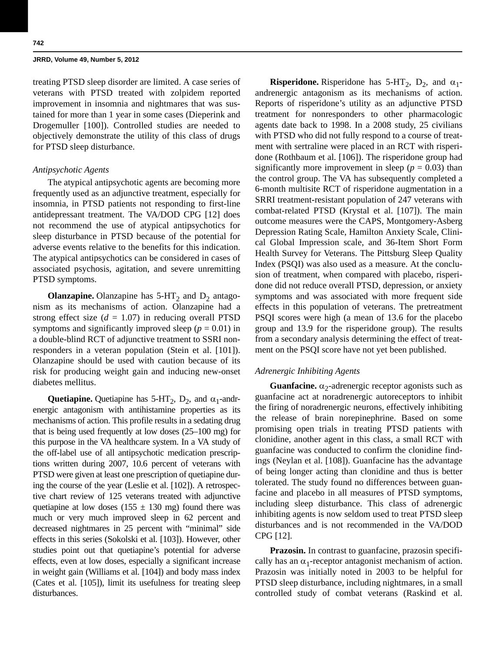treating PTSD sleep disorder are limited. A case series of veterans with PTSD treated with zolpidem reported improvement in insomnia and nightmares that was sustained for more than 1 year in some cases (Dieperink and Drogemuller [100]). Controlled studies are needed to objectively demonstrate the utility of this class of drugs for PTSD sleep disturbance.

## *Antipsychotic Agents*

The atypical antipsychotic agents are becoming more frequently used as an adjunctive treatment, especially for insomnia, in PTSD patients not responding to first-line antidepressant treatment. The VA/DOD CPG [12] does not recommend the use of atypical antipsychotics for sleep disturbance in PTSD because of the potential for adverse events relative to the benefits for this indication. The atypical antipsychotics can be considered in cases of associated psychosis, agitation, and severe unremitting PTSD symptoms.

**Olanzapine.** Olanzapine has  $5-HT_2$  and  $D_2$  antagonism as its mechanisms of action. Olanzapine had a strong effect size  $(d = 1.07)$  in reducing overall PTSD symptoms and significantly improved sleep ( $p = 0.01$ ) in a double-blind RCT of adjunctive treatment to SSRI nonresponders in a veteran population (Stein et al. [101]). Olanzapine should be used with caution because of its risk for producing weight gain and inducing new-onset diabetes mellitus.

**Quetiapine.** Quetiapine has  $5\text{-}HT_2$ ,  $D_2$ , and  $\alpha_1$ -andrenergic antagonism with antihistamine properties as its mechanisms of action. This profile results in a sedating drug that is being used frequently at low doses (25–100 mg) for this purpose in the VA healthcare system. In a VA study of the off-label use of all antipsychotic medication prescriptions written during 2007, 10.6 percent of veterans with PTSD were given at least one prescription of quetiapine during the course of the year (Leslie et al. [102]). A retrospective chart review of 125 veterans treated with adjunctive quetiapine at low doses (155  $\pm$  130 mg) found there was much or very much improved sleep in 62 percent and decreased nightmares in 25 percent with "minimal" side effects in this series (Sokolski et al. [103]). However, other studies point out that quetiapine's potential for adverse effects, even at low doses, especially a significant increase in weight gain (Williams et al. [104]) and body mass index (Cates et al. [105]), limit its usefulness for treating sleep disturbances.

**Risperidone.** Risperidone has  $5-HT_2$ ,  $D_2$ , and  $\alpha_1$ andrenergic antagonism as its mechanisms of action. Reports of risperidone's utility as an adjunctive PTSD treatment for nonresponders to other pharmacologic agents date back to 1998. In a 2008 study, 25 civilians with PTSD who did not fully respond to a course of treatment with sertraline were placed in an RCT with risperidone (Rothbaum et al. [106]). The risperidone group had significantly more improvement in sleep ( $p = 0.03$ ) than the control group. The VA has subsequently completed a 6-month multisite RCT of risperidone augmentation in a SRRI treatment-resistant population of 247 veterans with combat-related PTSD (Krystal et al. [107]). The main outcome measures were the CAPS, Montgomery-Asberg Depression Rating Scale, Hamilton Anxiety Scale, Clinical Global Impression scale, and 36-Item Short Form Health Survey for Veterans. The Pittsburg Sleep Quality Index (PSQI) was also used as a measure. At the conclusion of treatment, when compared with placebo, risperidone did not reduce overall PTSD, depression, or anxiety symptoms and was associated with more frequent side effects in this population of veterans. The pretreatment PSQI scores were high (a mean of 13.6 for the placebo group and 13.9 for the risperidone group). The results from a secondary analysis determining the effect of treatment on the PSQI score have not yet been published.

## *Adrenergic Inhibiting Agents*

**Guanfacine.**  $\alpha_2$ -adrenergic receptor agonists such as guanfacine act at noradrenergic autoreceptors to inhibit the firing of noradrenergic neurons, effectively inhibiting the release of brain norepinephrine. Based on some promising open trials in treating PTSD patients with clonidine, another agent in this class, a small RCT with guanfacine was conducted to confirm the clonidine findings (Neylan et al. [108]). Guanfacine has the advantage of being longer acting than clonidine and thus is better tolerated. The study found no differences between guanfacine and placebo in all measures of PTSD symptoms, including sleep disturbance. This class of adrenergic inhibiting agents is now seldom used to treat PTSD sleep disturbances and is not recommended in the VA/DOD CPG [12].

**Prazosin.** In contrast to guanfacine, prazosin specifically has an  $\alpha_1$ -receptor antagonist mechanism of action. Prazosin was initially noted in 2003 to be helpful for PTSD sleep disturbance, including nightmares, in a small controlled study of combat veterans (Raskind et al.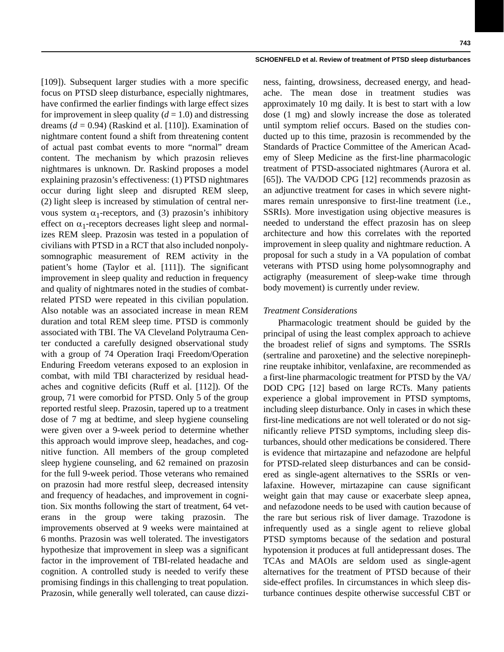[109]). Subsequent larger studies with a more specific focus on PTSD sleep disturbance, especially nightmares, have confirmed the earlier findings with large effect sizes for improvement in sleep quality  $(d = 1.0)$  and distressing dreams  $(d = 0.94)$  (Raskind et al. [110]). Examination of nightmare content found a shift from threatening content of actual past combat events to more "normal" dream content. The mechanism by which prazosin relieves nightmares is unknown. Dr. Raskind proposes a model explaining prazosin's effectiveness: (1) PTSD nightmares occur during light sleep and disrupted REM sleep, (2) light sleep is increased by stimulation of central nervous system  $\alpha_1$ -receptors, and (3) prazosin's inhibitory effect on  $\alpha_1$ -receptors decreases light sleep and normalizes REM sleep. Prazosin was tested in a population of civilians with PTSD in a RCT that also included nonpolysomnographic measurement of REM activity in the patient's home (Taylor et al. [111]). The significant improvement in sleep quality and reduction in frequency and quality of nightmares noted in the studies of combatrelated PTSD were repeated in this civilian population. Also notable was an associated increase in mean REM duration and total REM sleep time. PTSD is commonly associated with TBI. The VA Cleveland Polytrauma Center conducted a carefully designed observational study with a group of 74 Operation Iraqi Freedom/Operation Enduring Freedom veterans exposed to an explosion in combat, with mild TBI characterized by residual headaches and cognitive deficits (Ruff et al. [112]). Of the group, 71 were comorbid for PTSD. Only 5 of the group reported restful sleep. Prazosin, tapered up to a treatment dose of 7 mg at bedtime, and sleep hygiene counseling were given over a 9-week period to determine whether this approach would improve sleep, headaches, and cognitive function. All members of the group completed sleep hygiene counseling, and 62 remained on prazosin for the full 9-week period. Those veterans who remained on prazosin had more restful sleep, decreased intensity and frequency of headaches, and improvement in cognition. Six months following the start of treatment, 64 veterans in the group were taking prazosin. The improvements observed at 9 weeks were maintained at 6 months. Prazosin was well tolerated. The investigators hypothesize that improvement in sleep was a significant factor in the improvement of TBI-related headache and cognition. A controlled study is needed to verify these promising findings in this challenging to treat population. Prazosin, while generally well tolerated, can cause dizzi-

ness, fainting, drowsiness, decreased energy, and headache. The mean dose in treatment studies was approximately 10 mg daily. It is best to start with a low dose (1 mg) and slowly increase the dose as tolerated until symptom relief occurs. Based on the studies conducted up to this time, prazosin is recommended by the Standards of Practice Committee of the American Academy of Sleep Medicine as the first-line pharmacologic treatment of PTSD-associated nightmares (Aurora et al. [65]). The VA/DOD CPG [12] recommends prazosin as an adjunctive treatment for cases in which severe nightmares remain unresponsive to first-line treatment (i.e., SSRIs). More investigation using objective measures is needed to understand the effect prazosin has on sleep architecture and how this correlates with the reported improvement in sleep quality and nightmare reduction. A proposal for such a study in a VA population of combat veterans with PTSD using home polysomnography and actigraphy (measurement of sleep-wake time through body movement) is currently under review.

## *Treatment Considerations*

Pharmacologic treatment should be guided by the principal of using the least complex approach to achieve the broadest relief of signs and symptoms. The SSRIs (sertraline and paroxetine) and the selective norepinephrine reuptake inhibitor, venlafaxine, are recommended as a first-line pharmacologic treatment for PTSD by the VA/ DOD CPG [12] based on large RCTs. Many patients experience a global improvement in PTSD symptoms, including sleep disturbance. Only in cases in which these first-line medications are not well tolerated or do not significantly relieve PTSD symptoms, including sleep disturbances, should other medications be considered. There is evidence that mirtazapine and nefazodone are helpful for PTSD-related sleep disturbances and can be considered as single-agent alternatives to the SSRIs or venlafaxine. However, mirtazapine can cause significant weight gain that may cause or exacerbate sleep apnea, and nefazodone needs to be used with caution because of the rare but serious risk of liver damage. Trazodone is infrequently used as a single agent to relieve global PTSD symptoms because of the sedation and postural hypotension it produces at full antidepressant doses. The TCAs and MAOIs are seldom used as single-agent alternatives for the treatment of PTSD because of their side-effect profiles. In circumstances in which sleep disturbance continues despite otherwise successful CBT or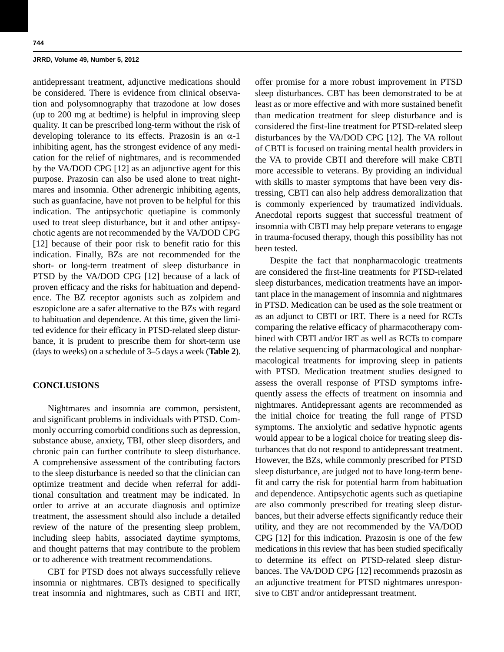antidepressant treatment, adjunctive medications should be considered. There is evidence from clinical observation and polysomnography that trazodone at low doses (up to 200 mg at bedtime) is helpful in improving sleep quality. It can be prescribed long-term without the risk of developing tolerance to its effects. Prazosin is an  $\alpha$ -1 inhibiting agent, has the strongest evidence of any medication for the relief of nightmares, and is recommended by the VA/DOD CPG [12] as an adjunctive agent for this purpose. Prazosin can also be used alone to treat nightmares and insomnia. Other adrenergic inhibiting agents, such as guanfacine, have not proven to be helpful for this indication. The antipsychotic quetiapine is commonly used to treat sleep disturbance, but it and other antipsychotic agents are not recommended by the VA/DOD CPG [12] because of their poor risk to benefit ratio for this indication. Finally, BZs are not recommended for the short- or long-term treatment of sleep disturbance in PTSD by the VA/DOD CPG [12] because of a lack of proven efficacy and the risks for habituation and dependence. The BZ receptor agonists such as zolpidem and eszopiclone are a safer alternative to the BZs with regard to habituation and dependence. At this time, given the limited evidence for their efficacy in PTSD-related sleep disturbance, it is prudent to prescribe them for short-term use (days to weeks) on a schedule of 3–5 days a week (**Table 2**).

## **CONCLUSIONS**

Nightmares and insomnia are common, persistent, and significant problems in individuals with PTSD. Commonly occurring comorbid conditions such as depression, substance abuse, anxiety, TBI, other sleep disorders, and chronic pain can further contribute to sleep disturbance. A comprehensive assessment of the contributing factors to the sleep disturbance is needed so that the clinician can optimize treatment and decide when referral for additional consultation and treatment may be indicated. In order to arrive at an accurate diagnosis and optimize treatment, the assessment should also include a detailed review of the nature of the presenting sleep problem, including sleep habits, associated daytime symptoms, and thought patterns that may contribute to the problem or to adherence with treatment recommendations.

CBT for PTSD does not always successfully relieve insomnia or nightmares. CBTs designed to specifically treat insomnia and nightmares, such as CBTI and IRT, offer promise for a more robust improvement in PTSD sleep disturbances. CBT has been demonstrated to be at least as or more effective and with more sustained benefit than medication treatment for sleep disturbance and is considered the first-line treatment for PTSD-related sleep disturbances by the VA/DOD CPG [12]. The VA rollout of CBTI is focused on training mental health providers in the VA to provide CBTI and therefore will make CBTI more accessible to veterans. By providing an individual with skills to master symptoms that have been very distressing, CBTI can also help address demoralization that is commonly experienced by traumatized individuals. Anecdotal reports suggest that successful treatment of insomnia with CBTI may help prepare veterans to engage in trauma-focused therapy, though this possibility has not been tested.

Despite the fact that nonpharmacologic treatments are considered the first-line treatments for PTSD-related sleep disturbances, medication treatments have an important place in the management of insomnia and nightmares in PTSD. Medication can be used as the sole treatment or as an adjunct to CBTI or IRT. There is a need for RCTs comparing the relative efficacy of pharmacotherapy combined with CBTI and/or IRT as well as RCTs to compare the relative sequencing of pharmacological and nonpharmacological treatments for improving sleep in patients with PTSD. Medication treatment studies designed to assess the overall response of PTSD symptoms infrequently assess the effects of treatment on insomnia and nightmares. Antidepressant agents are recommended as the initial choice for treating the full range of PTSD symptoms. The anxiolytic and sedative hypnotic agents would appear to be a logical choice for treating sleep disturbances that do not respond to antidepressant treatment. However, the BZs, while commonly prescribed for PTSD sleep disturbance, are judged not to have long-term benefit and carry the risk for potential harm from habituation and dependence. Antipsychotic agents such as quetiapine are also commonly prescribed for treating sleep disturbances, but their adverse effects significantly reduce their utility, and they are not recommended by the VA/DOD CPG [12] for this indication. Prazosin is one of the few medications in this review that has been studied specifically to determine its effect on PTSD-related sleep disturbances. The VA/DOD CPG [12] recommends prazosin as an adjunctive treatment for PTSD nightmares unresponsive to CBT and/or antidepressant treatment.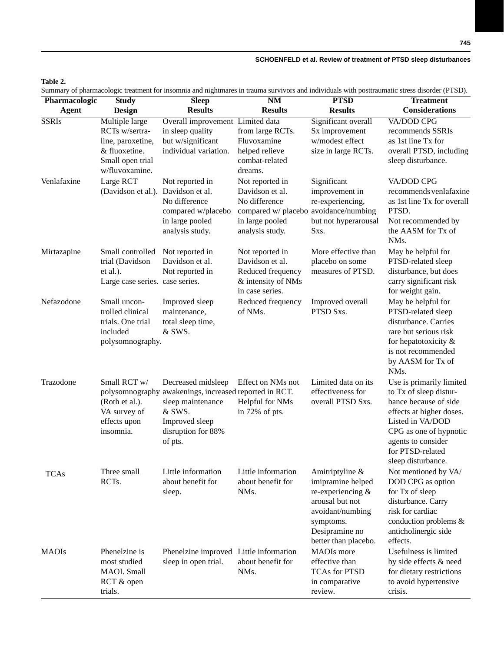## **Table 2.**

Summary of pharmacologic treatment for insomnia and nightmares in trauma survivors and individuals with posttraumatic stress disorder (PTSD).

| Pharmacologic | <b>Study</b>                                                                                                 | $S$ leep                                                                                                                                                       | $\overline{\text{NM}}$                                                                                                             | <b>PTSD</b>                                                                                                                                             | bullimary of pharmacologic acument for moonline and inginimates in audina survivors and marviolats while postumation savos disorder (1 1.02).<br><b>Treatment</b>                                                     |
|---------------|--------------------------------------------------------------------------------------------------------------|----------------------------------------------------------------------------------------------------------------------------------------------------------------|------------------------------------------------------------------------------------------------------------------------------------|---------------------------------------------------------------------------------------------------------------------------------------------------------|-----------------------------------------------------------------------------------------------------------------------------------------------------------------------------------------------------------------------|
| <b>Agent</b>  | <b>Design</b>                                                                                                | <b>Results</b>                                                                                                                                                 | <b>Results</b>                                                                                                                     | <b>Results</b>                                                                                                                                          | Considerations                                                                                                                                                                                                        |
| <b>SSRIs</b>  | Multiple large<br>RCTs w/sertra-<br>line, paroxetine,<br>& fluoxetine.<br>Small open trial<br>w/fluvoxamine. | Overall improvement Limited data<br>in sleep quality<br>but w/significant<br>individual variation.                                                             | from large RCTs.<br>Fluvoxamine<br>helped relieve<br>combat-related<br>dreams.                                                     | Significant overall<br>Sx improvement<br>w/modest effect<br>size in large RCTs.                                                                         | <b>VA/DOD CPG</b><br>recommends SSRIs<br>as 1st line Tx for<br>overall PTSD, including<br>sleep disturbance.                                                                                                          |
| Venlafaxine   | Large RCT<br>(Davidson et al.). Davidson et al.                                                              | Not reported in<br>No difference<br>compared w/placebo<br>in large pooled<br>analysis study.                                                                   | Not reported in<br>Davidson et al.<br>No difference<br>compared w/ placebo avoidance/numbing<br>in large pooled<br>analysis study. | Significant<br>improvement in<br>re-experiencing,<br>but not hyperarousal<br>Sxs.                                                                       | VA/DOD CPG<br>recommends venlafaxine<br>as 1st line Tx for overall<br>PTSD.<br>Not recommended by<br>the AASM for Tx of<br>NM <sub>s</sub> .                                                                          |
| Mirtazapine   | Small controlled<br>trial (Davidson<br>et al.).<br>Large case series. case series.                           | Not reported in<br>Davidson et al.<br>Not reported in                                                                                                          | Not reported in<br>Davidson et al.<br>Reduced frequency<br>& intensity of NMs<br>in case series.                                   | More effective than<br>placebo on some<br>measures of PTSD.                                                                                             | May be helpful for<br>PTSD-related sleep<br>disturbance, but does<br>carry significant risk<br>for weight gain.                                                                                                       |
| Nefazodone    | Small uncon-<br>trolled clinical<br>trials. One trial<br>included<br>polysomnography.                        | Improved sleep<br>maintenance,<br>total sleep time,<br>& SWS.                                                                                                  | Reduced frequency<br>of NMs.                                                                                                       | Improved overall<br>PTSD Sxs.                                                                                                                           | May be helpful for<br>PTSD-related sleep<br>disturbance. Carries<br>rare but serious risk<br>for hepatotoxicity &<br>is not recommended<br>by AASM for Tx of<br>NM <sub>s</sub> .                                     |
| Trazodone     | Small RCT w/<br>(Roth et al.).<br>VA survey of<br>effects upon<br>insomnia.                                  | Decreased midsleep<br>polysomnography awakenings, increased reported in RCT.<br>sleep maintenance<br>& SWS.<br>Improved sleep<br>disruption for 88%<br>of pts. | Effect on NMs not<br>Helpful for NMs<br>in 72% of pts.                                                                             | Limited data on its<br>effectiveness for<br>overall PTSD Sxs.                                                                                           | Use is primarily limited<br>to Tx of sleep distur-<br>bance because of side<br>effects at higher doses.<br>Listed in VA/DOD<br>CPG as one of hypnotic<br>agents to consider<br>for PTSD-related<br>sleep disturbance. |
| <b>TCAs</b>   | Three small<br>RCTs.                                                                                         | Little information<br>about benefit for<br>sleep.                                                                                                              | Little information<br>about benefit for<br>NM <sub>s</sub> .                                                                       | Amitriptyline &<br>imipramine helped<br>re-experiencing &<br>arousal but not<br>avoidant/numbing<br>symptoms.<br>Desipramine no<br>better than placebo. | Not mentioned by VA/<br>DOD CPG as option<br>for Tx of sleep<br>disturbance. Carry<br>risk for cardiac<br>conduction problems &<br>anticholinergic side<br>effects.                                                   |
| <b>MAOIs</b>  | Phenelzine is<br>most studied<br>MAOI. Small<br>RCT & open<br>trials.                                        | Phenelzine improved Little information<br>sleep in open trial.                                                                                                 | about benefit for<br>NM <sub>s</sub> .                                                                                             | <b>MAOIs</b> more<br>effective than<br><b>TCAs for PTSD</b><br>in comparative<br>review.                                                                | Usefulness is limited<br>by side effects & need<br>for dietary restrictions<br>to avoid hypertensive<br>crisis.                                                                                                       |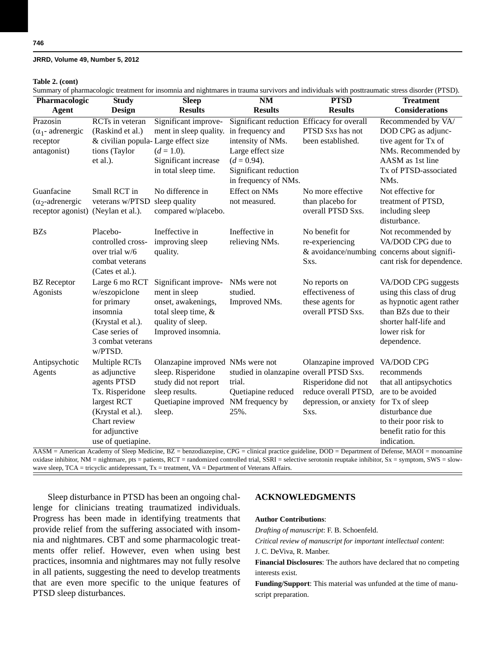#### **Table 2. (cont)**

Summary of pharmacologic treatment for insomnia and nightmares in trauma survivors and individuals with posttraumatic stress disorder (PTSD).

| . .<br>Pharmacologic                                            | <b>Study</b>                                                                                                                                                 | <b>Sleep</b>                                                                                                                      | $\overline{\text{NM}}$                                                                                                                                  | <b>PTSD</b>                                                                                          | <b>Treatment</b>                                                                                                                                                                                                                                                                                                                                                            |
|-----------------------------------------------------------------|--------------------------------------------------------------------------------------------------------------------------------------------------------------|-----------------------------------------------------------------------------------------------------------------------------------|---------------------------------------------------------------------------------------------------------------------------------------------------------|------------------------------------------------------------------------------------------------------|-----------------------------------------------------------------------------------------------------------------------------------------------------------------------------------------------------------------------------------------------------------------------------------------------------------------------------------------------------------------------------|
| <b>Agent</b>                                                    | <b>Design</b>                                                                                                                                                | <b>Results</b>                                                                                                                    | <b>Results</b>                                                                                                                                          | <b>Results</b>                                                                                       | <b>Considerations</b>                                                                                                                                                                                                                                                                                                                                                       |
| Prazosin<br>$(\alpha_1$ - adrenergic<br>receptor<br>antagonist) | RCTs in veteran<br>(Raskind et al.)<br>& civilian popula-Large effect size<br>tions (Taylor<br>et al.).                                                      | Significant improve-<br>ment in sleep quality. in frequency and<br>$(d=1.0)$ .<br>Significant increase<br>in total sleep time.    | Significant reduction Efficacy for overall<br>intensity of NMs.<br>Large effect size<br>$(d = 0.94)$ .<br>Significant reduction<br>in frequency of NMs. | PTSD Sxs has not<br>been established.                                                                | Recommended by VA/<br>DOD CPG as adjunc-<br>tive agent for Tx of<br>NMs. Recommended by<br>AASM as 1st line<br>Tx of PTSD-associated<br>NM <sub>s</sub> .                                                                                                                                                                                                                   |
| Guanfacine<br>$(\alpha_2$ -adrenergic<br>receptor agonist)      | Small RCT in<br>veterans w/PTSD sleep quality<br>(Neylan et al.).                                                                                            | No difference in<br>compared w/placebo.                                                                                           | <b>Effect on NMs</b><br>not measured.                                                                                                                   | No more effective<br>than placebo for<br>overall PTSD Sxs.                                           | Not effective for<br>treatment of PTSD,<br>including sleep<br>disturbance.                                                                                                                                                                                                                                                                                                  |
| <b>BZs</b>                                                      | Placebo-<br>controlled cross-<br>over trial w/6<br>combat veterans<br>(Cates et al.).                                                                        | Ineffective in<br>improving sleep<br>quality.                                                                                     | Ineffective in<br>relieving NMs.                                                                                                                        | No benefit for<br>re-experiencing<br>Sxs.                                                            | Not recommended by<br>VA/DOD CPG due to<br>& avoidance/numbing concerns about signifi-<br>cant risk for dependence.                                                                                                                                                                                                                                                         |
| <b>BZ</b> Receptor<br>Agonists                                  | Large 6 mo RCT<br>w/eszopiclone<br>for primary<br>insomnia<br>(Krystal et al.).<br>Case series of<br>3 combat veterans<br>w/PTSD.                            | Significant improve-<br>ment in sleep<br>onset, awakenings,<br>total sleep time, &<br>quality of sleep.<br>Improved insomnia.     | NM <sub>s</sub> were not<br>studied.<br>Improved NMs.                                                                                                   | No reports on<br>effectiveness of<br>these agents for<br>overall PTSD Sxs.                           | VA/DOD CPG suggests<br>using this class of drug<br>as hypnotic agent rather<br>than BZs due to their<br>shorter half-life and<br>lower risk for<br>dependence.                                                                                                                                                                                                              |
| Antipsychotic<br>Agents                                         | Multiple RCTs<br>as adjunctive<br>agents PTSD<br>Tx. Risperidone<br>largest RCT<br>(Krystal et al.).<br>Chart review<br>for adjunctive<br>use of quetiapine. | Olanzapine improved NMs were not<br>sleep. Risperidone<br>study did not report<br>sleep results.<br>Quetiapine improved<br>sleep. | studied in olanzapine overall PTSD Sxs.<br>trial.<br>Quetiapine reduced<br>NM frequency by<br>25%.                                                      | Olanzapine improved<br>Risperidone did not<br>reduce overall PTSD,<br>depression, or anxiety<br>Sxs. | VA/DOD CPG<br>recommends<br>that all antipsychotics<br>are to be avoided<br>for Tx of sleep<br>disturbance due<br>to their poor risk to<br>benefit ratio for this<br>indication.<br>$\triangle ASM - \triangle American \,\triangle Cademy$ of Sleep Medicine $BZ - \triangle PGG - \triangle CDF - \triangle C)$ and prectice quideline $DOD - \triangle PQ = \triangle C$ |

emy of Sleep Medicine,  $BZ =$  benzodiazepine, CPG = clinical practice guideline, DOD = oxidase inhibitor, NM = nightmare, pts = patients, RCT = randomized controlled trial, SSRI = selective serotonin reuptake inhibitor, Sx = symptom, SWS = slowwave sleep,  $TCA = tricyclic$  antidepressant,  $Tx = treatment$ ,  $VA = Department$  of Veterans Affairs.

Sleep disturbance in PTSD has been an ongoing challenge for clinicians treating traumatized individuals. Progress has been made in identifying treatments that provide relief from the suffering associated with insomnia and nightmares. CBT and some pharmacologic treatments offer relief. However, even when using best practices, insomnia and nightmares may not fully resolve in all patients, suggesting the need to develop treatments that are even more specific to the unique features of PTSD sleep disturbances.

## **ACKNOWLEDGMENTS**

#### **Author Contributions**:

*Drafting of manuscript*: F. B. Schoenfeld.

*Critical review of manuscript for important intellectual content*: J. C. DeViva, R. Manber.

**Financial Disclosures**: The authors have declared that no competing interests exist.

**Funding/Support**: This material was unfunded at the time of manuscript preparation.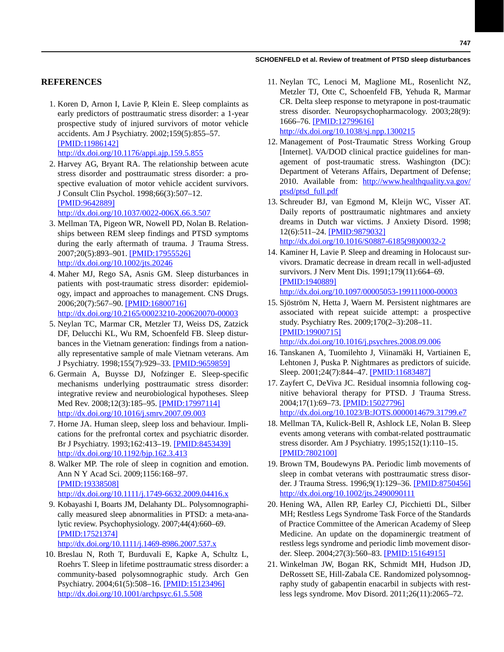## **REFERENCES**

 1. Koren D, Arnon I, Lavie P, Klein E. Sleep complaints as early predictors of posttraumatic stress disorder: a 1-year prospective study of injured survivors of motor vehicle accidents. Am J Psychiatry. 2002;159(5):855–57. [\[PMID:11986142\]](http://www.ncbi.nlm.nih.gov/entrez/query.fcgi?cmd=Retrieve&db=PubMed&list_uids=11986142&dopt=Abstract)

<http://dx.doi.org/10.1176/appi.ajp.159.5.855> 2. Harvey AG, Bryant RA. The relationship between acute

stress disorder and posttraumatic stress disorder: a prospective evaluation of motor vehicle accident survivors. J Consult Clin Psychol. 1998;66(3):507–12. [\[PMID:9642889\]](http://www.ncbi.nlm.nih.gov/entrez/query.fcgi?cmd=Retrieve&db=PubMed&list_uids=9642889&dopt=Abstract)

<http://dx.doi.org/10.1037/0022-006X.66.3.507>

- 3. Mellman TA, Pigeon WR, Nowell PD, Nolan B. Relationships between REM sleep findings and PTSD symptoms during the early aftermath of trauma. J Trauma Stress. 2007;20(5):893–901. [\[PMID:17955526\]](http://www.ncbi.nlm.nih.gov/entrez/query.fcgi?cmd=Retrieve&db=PubMed&list_uids=17955526&dopt=Abstract) <http://dx.doi.org/10.1002/jts.20246>
- 4. Maher MJ, Rego SA, Asnis GM. Sleep disturbances in patients with post-traumatic stress disorder: epidemiology, impact and approaches to management. CNS Drugs. 2006;20(7):567–90. [\[PMID:16800716\]](http://www.ncbi.nlm.nih.gov/entrez/query.fcgi?cmd=Retrieve&db=PubMed&list_uids=16800716&dopt=Abstract) <http://dx.doi.org/10.2165/00023210-200620070-00003>
- 5. Neylan TC, Marmar CR, Metzler TJ, Weiss DS, Zatzick DF, Delucchi KL, Wu RM, Schoenfeld FB. Sleep disturbances in the Vietnam generation: findings from a nationally representative sample of male Vietnam veterans. Am J Psychiatry. 1998;155(7):929–33. [\[PMID:9659859\]](http://www.ncbi.nlm.nih.gov/entrez/query.fcgi?cmd=Retrieve&db=PubMed&list_uids=9659859&dopt=Abstract)
- 6. Germain A, Buysse DJ, Nofzinger E. Sleep-specific mechanisms underlying posttraumatic stress disorder: integrative review and neurobiological hypotheses. Sleep Med Rev. 2008;12(3):185–95. [\[PMID:17997114\]](http://www.ncbi.nlm.nih.gov/entrez/query.fcgi?cmd=Retrieve&db=PubMed&list_uids=17997114&dopt=Abstract) <http://dx.doi.org/10.1016/j.smrv.2007.09.003>
- 7. Horne JA. Human sleep, sleep loss and behaviour. Implications for the prefrontal cortex and psychiatric disorder. Br J Psychiatry. 1993;162:413–19. [\[PMID:8453439\]](http://www.ncbi.nlm.nih.gov/entrez/query.fcgi?cmd=Retrieve&db=PubMed&list_uids=8453439&dopt=Abstract) <http://dx.doi.org/10.1192/bjp.162.3.413>
- 8. Walker MP. The role of sleep in cognition and emotion. Ann N Y Acad Sci. 2009;1156:168–97. [\[PMID:19338508\]](http://www.ncbi.nlm.nih.gov/entrez/query.fcgi?cmd=Retrieve&db=PubMed&list_uids=19338508&dopt=Abstract) <http://dx.doi.org/10.1111/j.1749-6632.2009.04416.x>
- 9. Kobayashi I, Boarts JM, Delahanty DL. Polysomnographically measured sleep abnormalities in PTSD: a meta-analytic review. Psychophysiology. 2007;44(4):660–69. [\[PMID:17521374\]](http://www.ncbi.nlm.nih.gov/entrez/query.fcgi?cmd=Retrieve&db=PubMed&list_uids=17521374&dopt=Abstract) <http://dx.doi.org/10.1111/j.1469-8986.2007.537.x>
- 10. Breslau N, Roth T, Burduvali E, Kapke A, Schultz L, Roehrs T. Sleep in lifetime posttraumatic stress disorder: a community-based polysomnographic study. Arch Gen Psychiatry. 2004;61(5):508–16. [\[PMID:15123496\]](http://www.ncbi.nlm.nih.gov/entrez/query.fcgi?cmd=Retrieve&db=PubMed&list_uids=15123496&dopt=Abstract) <http://dx.doi.org/10.1001/archpsyc.61.5.508>
- 11. Neylan TC, Lenoci M, Maglione ML, Rosenlicht NZ, Metzler TJ, Otte C, Schoenfeld FB, Yehuda R, Marmar CR. Delta sleep response to metyrapone in post-traumatic stress disorder. Neuropsychopharmacology. 2003;28(9): 1666–76. [\[PMID:12799616\]](http://www.ncbi.nlm.nih.gov/entrez/query.fcgi?cmd=Retrieve&db=PubMed&list_uids=12799616&dopt=Abstract) <http://dx.doi.org/10.1038/sj.npp.1300215>
- 12. Management of Post-Traumatic Stress Working Group [Internet]. VA/DOD clinical practice guidelines for management of post-traumatic stress. Washington (DC): Department of Veterans Affairs, Department of Defense; 2010. Available from: [http://www.healthquality.va.gov/](http://www.healthquality.va.gov/Post_Traumatic_Stress_Disorder_PTSD.asp) [ptsd/ptsd\\_full.pdf](http://www.healthquality.va.gov/Post_Traumatic_Stress_Disorder_PTSD.asp)
- 13. Schreuder BJ, van Egmond M, Kleijn WC, Visser AT. Daily reports of posttraumatic nightmares and anxiety dreams in Dutch war victims. J Anxiety Disord. 1998; 12(6):511–24. [\[PMID:9879032\]](http://www.ncbi.nlm.nih.gov/entrez/query.fcgi?cmd=Retrieve&db=PubMed&list_uids=9879032&dopt=Abstract) [http://dx.doi.org/10.1016/S0887-6185\(98\)00032-2](http://dx.doi.org/10.1016/S0887-6185(98)00032-2)
- 14. Kaminer H, Lavie P. Sleep and dreaming in Holocaust survivors. Dramatic decrease in dream recall in well-adjusted survivors. J Nerv Ment Dis. 1991;179(11):664–69. [\[PMID:1940889\]](http://www.ncbi.nlm.nih.gov/entrez/query.fcgi?cmd=Retrieve&db=PubMed&list_uids=1940889&dopt=Abstract) <http://dx.doi.org/10.1097/00005053-199111000-00003>
- 15. Sjöström N, Hetta J, Waern M. Persistent nightmares are associated with repeat suicide attempt: a prospective study. Psychiatry Res. 2009;170(2–3):208–11. [\[PMID:19900715\]](http://www.ncbi.nlm.nih.gov/entrez/query.fcgi?cmd=Retrieve&db=PubMed&list_uids=19900715&dopt=Abstract)

<http://dx.doi.org/10.1016/j.psychres.2008.09.006>

- 16. Tanskanen A, Tuomilehto J, Viinamäki H, Vartiainen E, Lehtonen J, Puska P. Nightmares as predictors of suicide. Sleep. 2001;24(7):844–47. [\[PMID:11683487\]](http://www.ncbi.nlm.nih.gov/entrez/query.fcgi?cmd=Retrieve&db=PubMed&list_uids=11683487&dopt=Abstract)
- 17. Zayfert C, DeViva JC. Residual insomnia following cognitive behavioral therapy for PTSD. J Trauma Stress. 2004;17(1):69–73. [\[PMID:15027796\]](http://www.ncbi.nlm.nih.gov/entrez/query.fcgi?cmd=Retrieve&db=PubMed&list_uids=15027796&dopt=Abstract) <http://dx.doi.org/10.1023/B:JOTS.0000014679.31799.e7>
- 18. Mellman TA, Kulick-Bell R, Ashlock LE, Nolan B. Sleep events among veterans with combat-related posttraumatic stress disorder. Am J Psychiatry. 1995;152(1):110–15. [\[PMID:7802100\]](http://www.ncbi.nlm.nih.gov/entrez/query.fcgi?cmd=Retrieve&db=PubMed&list_uids=7802100&dopt=Abstract)
- 19. Brown TM, Boudewyns PA. Periodic limb movements of sleep in combat veterans with posttraumatic stress disorder. J Trauma Stress. 1996;9(1):129–36. [\[PMID:8750456\]](http://www.ncbi.nlm.nih.gov/entrez/query.fcgi?cmd=Retrieve&db=PubMed&list_uids=8750456&dopt=Abstract) <http://dx.doi.org/10.1002/jts.2490090111>
- 20. Hening WA, Allen RP, Earley CJ, Picchietti DL, Silber MH; Restless Legs Syndrome Task Force of the Standards of Practice Committee of the American Academy of Sleep Medicine. An update on the dopaminergic treatment of restless legs syndrome and periodic limb movement disorder. Sleep. 2004;27(3):560–83. [\[PMID:15164915\]](http://www.ncbi.nlm.nih.gov/entrez/query.fcgi?cmd=Retrieve&db=PubMed&list_uids=15164915&dopt=Abstract)
- 21. Winkelman JW, Bogan RK, Schmidt MH, Hudson JD, DeRossett SE, Hill-Zabala CE. Randomized polysomnography study of gabapentin enacarbil in subjects with restless legs syndrome. Mov Disord. 2011;26(11):2065–72.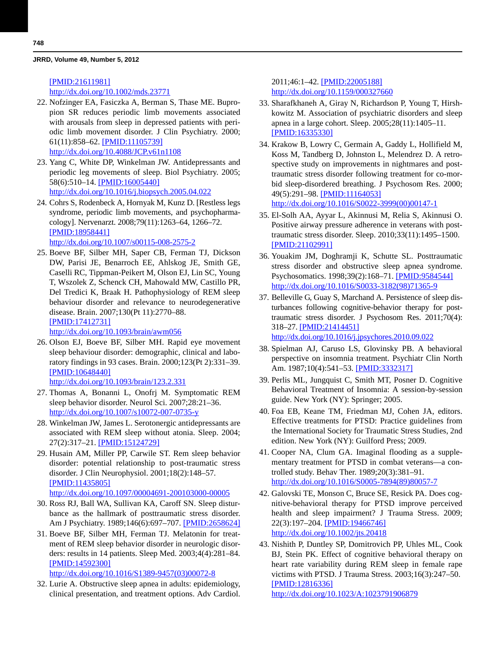## [\[PMID:21611981\]](http://www.ncbi.nlm.nih.gov/entrez/query.fcgi?cmd=Retrieve&db=PubMed&list_uids=21611981&dopt=Abstract)

<http://dx.doi.org/10.1002/mds.23771>

- 22. Nofzinger EA, Fasiczka A, Berman S, Thase ME. Bupropion SR reduces periodic limb movements associated with arousals from sleep in depressed patients with periodic limb movement disorder. J Clin Psychiatry. 2000; 61(11):858–62. [\[PMID:11105739\]](http://www.ncbi.nlm.nih.gov/entrez/query.fcgi?cmd=Retrieve&db=PubMed&list_uids=11105739&dopt=Abstract) <http://dx.doi.org/10.4088/JCP.v61n1108>
- 23. Yang C, White DP, Winkelman JW. Antidepressants and periodic leg movements of sleep. Biol Psychiatry. 2005; 58(6):510–14. [\[PMID:16005440\]](http://www.ncbi.nlm.nih.gov/entrez/query.fcgi?cmd=Retrieve&db=PubMed&list_uids=16005440&dopt=Abstract) <http://dx.doi.org/10.1016/j.biopsych.2005.04.022>
- 24. Cohrs S, Rodenbeck A, Hornyak M, Kunz D. [Restless legs syndrome, periodic limb movements, and psychopharmacology]. Nervenarzt. 2008;79(11):1263–64, 1266–72. [\[PMID:18958441\]](http://www.ncbi.nlm.nih.gov/entrez/query.fcgi?cmd=Retrieve&db=PubMed&list_uids=18958441&dopt=Abstract) <http://dx.doi.org/10.1007/s00115-008-2575-2>
- 25. Boeve BF, Silber MH, Saper CB, Ferman TJ, Dickson DW, Parisi JE, Benarroch EE, Ahlskog JE, Smith GE, Caselli RC, Tippman-Peikert M, Olson EJ, Lin SC, Young T, Wszolek Z, Schenck CH, Mahowald MW, Castillo PR, Del Tredici K, Braak H. Pathophysiology of REM sleep behaviour disorder and relevance to neurodegenerative disease. Brain. 2007;130(Pt 11):2770–88. [\[PMID:17412731\]](http://www.ncbi.nlm.nih.gov/entrez/query.fcgi?cmd=Retrieve&db=PubMed&list_uids=17412731&dopt=Abstract)

<http://dx.doi.org/10.1093/brain/awm056>

 26. Olson EJ, Boeve BF, Silber MH. Rapid eye movement sleep behaviour disorder: demographic, clinical and laboratory findings in 93 cases. Brain. 2000;123(Pt 2):331–39. [\[PMID:10648440\]](http://www.ncbi.nlm.nih.gov/entrez/query.fcgi?cmd=Retrieve&db=PubMed&list_uids=10648440&dopt=Abstract)

```
http://dx.doi.org/10.1093/brain/123.2.331
```
- 27. Thomas A, Bonanni L, Onofrj M. Symptomatic REM sleep behavior disorder. Neurol Sci. 2007;28:21–36. <http://dx.doi.org/10.1007/s10072-007-0735-y>
- 28. Winkelman JW, James L. Serotonergic antidepressants are associated with REM sleep without atonia. Sleep. 2004; 27(2):317–21. [\[PMID:15124729\]](http://www.ncbi.nlm.nih.gov/entrez/query.fcgi?cmd=Retrieve&db=PubMed&list_uids=15124729&dopt=Abstract)
- 29. Husain AM, Miller PP, Carwile ST. Rem sleep behavior disorder: potential relationship to post-traumatic stress disorder. J Clin Neurophysiol. 2001;18(2):148–57. [\[PMID:11435805\]](http://www.ncbi.nlm.nih.gov/entrez/query.fcgi?cmd=Retrieve&db=PubMed&list_uids=11435805&dopt=Abstract) <http://dx.doi.org/10.1097/00004691-200103000-00005>
- 30. Ross RJ, Ball WA, Sullivan KA, Caroff SN. Sleep disturbance as the hallmark of posttraumatic stress disorder. Am J Psychiatry. 1989;146(6):697–707. [\[PMID:2658624\]](http://www.ncbi.nlm.nih.gov/entrez/query.fcgi?cmd=Retrieve&db=PubMed&list_uids=2658624&dopt=Abstract)
- 31. Boeve BF, Silber MH, Ferman TJ. Melatonin for treatment of REM sleep behavior disorder in neurologic disorders: results in 14 patients. Sleep Med. 2003;4(4):281–84. [\[PMID:14592300\]](http://www.ncbi.nlm.nih.gov/entrez/query.fcgi?cmd=Retrieve&db=PubMed&list_uids=14592300&dopt=Abstract) [http://dx.doi.org/10.1016/S1389-9457\(03\)00072-8](http://dx.doi.org/10.1016/S1389-9457(03)00072-8)
- 32. Lurie A. Obstructive sleep apnea in adults: epidemiology, clinical presentation, and treatment options. Adv Cardiol.

2011;46:1–42. [\[PMID:22005188\]](http://www.ncbi.nlm.nih.gov/entrez/query.fcgi?cmd=Retrieve&db=PubMed&list_uids=22005188&dopt=Abstract) <http://dx.doi.org/10.1159/000327660>

- 33. Sharafkhaneh A, Giray N, Richardson P, Young T, Hirshkowitz M. Association of psychiatric disorders and sleep apnea in a large cohort. Sleep. 2005;28(11):1405–11. [\[PMID:16335330\]](http://www.ncbi.nlm.nih.gov/entrez/query.fcgi?cmd=Retrieve&db=PubMed&list_uids=16335330&dopt=Abstract)
- 34. Krakow B, Lowry C, Germain A, Gaddy L, Hollifield M, Koss M, Tandberg D, Johnston L, Melendrez D. A retrospective study on improvements in nightmares and posttraumatic stress disorder following treatment for co-morbid sleep-disordered breathing. J Psychosom Res. 2000; 49(5):291–98. [\[PMID:11164053\]](http://www.ncbi.nlm.nih.gov/entrez/query.fcgi?cmd=Retrieve&db=PubMed&list_uids=11164053&dopt=Abstract) [http://dx.doi.org/10.1016/S0022-3999\(00\)00147-1](http://dx.doi.org/10.1016/S0022-3999(00)00147-1)
- 35. El-Solh AA, Ayyar L, Akinnusi M, Relia S, Akinnusi O. Positive airway pressure adherence in veterans with posttraumatic stress disorder. Sleep. 2010;33(11):1495–1500. [\[PMID:21102991\]](http://www.ncbi.nlm.nih.gov/entrez/query.fcgi?cmd=Retrieve&db=PubMed&list_uids=21102991&dopt=Abstract)
- 36. Youakim JM, Doghramji K, Schutte SL. Posttraumatic stress disorder and obstructive sleep apnea syndrome. Psychosomatics. 1998;39(2):168-71. [\[PMID:9584544\]](http://www.ncbi.nlm.nih.gov/entrez/query.fcgi?cmd=Retrieve&db=PubMed&list_uids=9584544&dopt=Abstract) [http://dx.doi.org/10.1016/S0033-3182\(98\)71365-9](http://dx.doi.org/10.1016/S0033-3182(98)71365-9)
- 37. Belleville G, Guay S, Marchand A. Persistence of sleep disturbances following cognitive-behavior therapy for posttraumatic stress disorder. J Psychosom Res. 2011;70(4): 318–27. [\[PMID:21414451\]](http://www.ncbi.nlm.nih.gov/entrez/query.fcgi?cmd=Retrieve&db=PubMed&list_uids=21414451&dopt=Abstract) <http://dx.doi.org/10.1016/j.jpsychores.2010.09.022>
- 38. Spielman AJ, Caruso LS, Glovinsky PB. A behavioral perspective on insomnia treatment. Psychiatr Clin North Am. 1987;10(4):541-53. [\[PMID:3332317\]](http://www.ncbi.nlm.nih.gov/entrez/query.fcgi?cmd=Retrieve&db=PubMed&list_uids=3332317&dopt=Abstract)
- 39. Perlis ML, Jungquist C, Smith MT, Posner D. Cognitive Behavioral Treatment of Insomnia: A session-by-session guide. New York (NY): Springer; 2005.
- 40. Foa EB, Keane TM, Friedman MJ, Cohen JA, editors. Effective treatments for PTSD: Practice guidelines from the International Society for Traumatic Stress Studies, 2nd edition. New York (NY): Guilford Press; 2009.
- 41. Cooper NA, Clum GA. Imaginal flooding as a supplementary treatment for PTSD in combat veterans—a controlled study. Behav Ther. 1989;20(3):381–91. [http://dx.doi.org/10.1016/S0005-7894\(89\)80057-7](http://dx.doi.org/10.1016/S0005-7894(89)80057-7)
- 42. Galovski TE, Monson C, Bruce SE, Resick PA. Does cognitive-behavioral therapy for PTSD improve perceived health and sleep impairment? J Trauma Stress. 2009; 22(3):197–204. [\[PMID:19466746\]](http://www.ncbi.nlm.nih.gov/entrez/query.fcgi?cmd=Retrieve&db=PubMed&list_uids=19466746&dopt=Abstract) <http://dx.doi.org/10.1002/jts.20418>
- 43. Nishith P, Duntley SP, Domitrovich PP, Uhles ML, Cook BJ, Stein PK. Effect of cognitive behavioral therapy on heart rate variability during REM sleep in female rape victims with PTSD. J Trauma Stress. 2003;16(3):247–50. [\[PMID:12816336\]](http://www.ncbi.nlm.nih.gov/entrez/query.fcgi?cmd=Retrieve&db=PubMed&list_uids=12816336&dopt=Abstract)

<http://dx.doi.org/10.1023/A:1023791906879>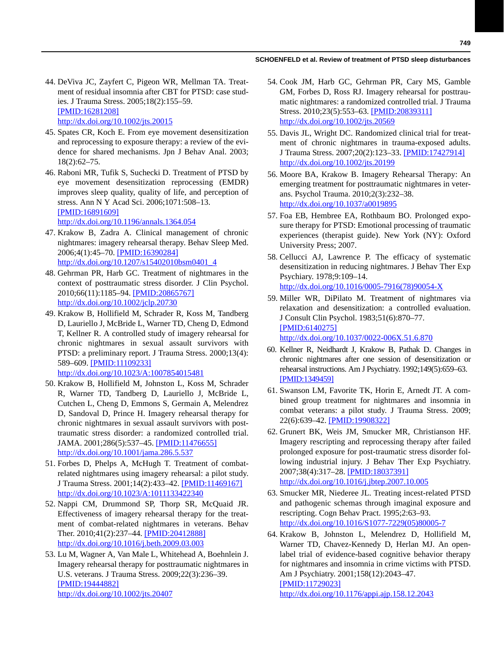- 44. DeViva JC, Zayfert C, Pigeon WR, Mellman TA. Treatment of residual insomnia after CBT for PTSD: case studies. J Trauma Stress. 2005;18(2):155–59. [\[PMID:16281208\]](http://www.ncbi.nlm.nih.gov/entrez/query.fcgi?cmd=Retrieve&db=PubMed&list_uids=16281208&dopt=Abstract) <http://dx.doi.org/10.1002/jts.20015>
- 45. Spates CR, Koch E. From eye movement desensitization and reprocessing to exposure therapy: a review of the evidence for shared mechanisms. Jpn J Behav Anal. 2003; 18(2):62–75.
- 46. Raboni MR, Tufik S, Suchecki D. Treatment of PTSD by eye movement desensitization reprocessing (EMDR) improves sleep quality, quality of life, and perception of stress. Ann N Y Acad Sci. 2006;1071:508–13. [\[PMID:16891609\]](http://www.ncbi.nlm.nih.gov/entrez/query.fcgi?cmd=Retrieve&db=PubMed&list_uids=16891609&dopt=Abstract) <http://dx.doi.org/10.1196/annals.1364.054>

 47. Krakow B, Zadra A. Clinical management of chronic nightmares: imagery rehearsal therapy. Behav Sleep Med. 2006;4(1):45–70. [\[PMID:16390284\]](http://www.ncbi.nlm.nih.gov/entrez/query.fcgi?cmd=Retrieve&db=PubMed&list_uids=16390284&dopt=Abstract) [http://dx.doi.org/10.1207/s15402010bsm0401\\_4](http://dx.doi.org/10.1207/s15402010bsm0401_4)

- 48. Gehrman PR, Harb GC. Treatment of nightmares in the context of posttraumatic stress disorder. J Clin Psychol. 2010;66(11):1185–94. [\[PMID:20865767\]](http://www.ncbi.nlm.nih.gov/entrez/query.fcgi?cmd=Retrieve&db=PubMed&list_uids=20865767&dopt=Abstract) <http://dx.doi.org/10.1002/jclp.20730>
- 49. Krakow B, Hollifield M, Schrader R, Koss M, Tandberg D, Lauriello J, McBride L, Warner TD, Cheng D, Edmond T, Kellner R. A controlled study of imagery rehearsal for chronic nightmares in sexual assault survivors with PTSD: a preliminary report. J Trauma Stress. 2000;13(4): 589–609. [\[PMID:11109233\]](http://www.ncbi.nlm.nih.gov/entrez/query.fcgi?cmd=Retrieve&db=PubMed&list_uids=11109233&dopt=Abstract)

<http://dx.doi.org/10.1023/A:1007854015481>

- 50. Krakow B, Hollifield M, Johnston L, Koss M, Schrader R, Warner TD, Tandberg D, Lauriello J, McBride L, Cutchen L, Cheng D, Emmons S, Germain A, Melendrez D, Sandoval D, Prince H. Imagery rehearsal therapy for chronic nightmares in sexual assault survivors with posttraumatic stress disorder: a randomized controlled trial. JAMA. 2001;286(5):537–45. [\[PMID:11476655\]](http://www.ncbi.nlm.nih.gov/entrez/query.fcgi?cmd=Retrieve&db=PubMed&list_uids=11476655&dopt=Abstract) <http://dx.doi.org/10.1001/jama.286.5.537>
- 51. Forbes D, Phelps A, McHugh T. Treatment of combatrelated nightmares using imagery rehearsal: a pilot study. J Trauma Stress. 2001;14(2):433–42. [\[PMID:11469167\]](http://www.ncbi.nlm.nih.gov/entrez/query.fcgi?cmd=Retrieve&db=PubMed&list_uids=11469167&dopt=Abstract) <http://dx.doi.org/10.1023/A:1011133422340>
- 52. Nappi CM, Drummond SP, Thorp SR, McQuaid JR. Effectiveness of imagery rehearsal therapy for the treatment of combat-related nightmares in veterans. Behav Ther. 2010;41(2):237–44. [\[PMID:20412888\]](http://www.ncbi.nlm.nih.gov/entrez/query.fcgi?cmd=Retrieve&db=PubMed&list_uids=20412888&dopt=Abstract) <http://dx.doi.org/10.1016/j.beth.2009.03.003>
- 53. Lu M, Wagner A, Van Male L, Whitehead A, Boehnlein J. Imagery rehearsal therapy for posttraumatic nightmares in U.S. veterans. J Trauma Stress. 2009;22(3):236–39. [\[PMID:19444882\]](http://www.ncbi.nlm.nih.gov/entrez/query.fcgi?cmd=Retrieve&db=PubMed&list_uids=19444882&dopt=Abstract) <http://dx.doi.org/10.1002/jts.20407>
- 54. Cook JM, Harb GC, Gehrman PR, Cary MS, Gamble GM, Forbes D, Ross RJ. Imagery rehearsal for posttraumatic nightmares: a randomized controlled trial. J Trauma Stress. 2010;23(5):553–63. [\[PMID:20839311\]](http://www.ncbi.nlm.nih.gov/pubmed/20839311) http://dx.doi.org/10.1002/jts.20569
- 55. Davis JL, Wright DC. Randomized clinical trial for treatment of chronic nightmares in trauma-exposed adults. J Trauma Stress. 2007;20(2):123–33. [\[PMID:17427914\]](http://www.ncbi.nlm.nih.gov/pubmed/17427914) http://dx.doi.org/10.1002/jts.20199
- 56. Moore BA, Krakow B. Imagery Rehearsal Therapy: An emerging treatment for posttraumatic nightmares in veterans. Psychol Trauma. 2010;2(3):232–38. http://dx.doi.org/10.1037/a0019895
- 57. Foa EB, Hembree EA, Rothbaum BO. Prolonged exposure therapy for PTSD: Emotional processing of traumatic experiences (therapist guide). New York (NY): Oxford University Press; 2007.
- 58. Cellucci AJ, Lawrence P. The efficacy of systematic desensitization in reducing nightmares. J Behav Ther Exp Psychiary. 1978;9:109–14. [http://dx.doi.org/10.1016/0005-7916\(78\)90054-X](http://dx.doi.org/10.1016/0005-7916(78)90054-X)
- 59. Miller WR, DiPilato M. Treatment of nightmares via relaxation and desensitization: a controlled evaluation. J Consult Clin Psychol. 1983;51(6):870–77. [\[PMID:6140275\]](http://www.ncbi.nlm.nih.gov/entrez/query.fcgi?cmd=Retrieve&db=PubMed&list_uids=6140275&dopt=Abstract) <http://dx.doi.org/10.1037/0022-006X.51.6.870>
- 60. Kellner R, Neidhardt J, Krakow B, Pathak D. Changes in chronic nightmares after one session of desensitization or rehearsal instructions. Am J Psychiatry. 1992;149(5):659–63. [\[PMID:1349459\]](http://www.ncbi.nlm.nih.gov/entrez/query.fcgi?cmd=Retrieve&db=PubMed&list_uids=1349459&dopt=Abstract)
- 61. Swanson LM, Favorite TK, Horin E, Arnedt JT. A combined group treatment for nightmares and insomnia in combat veterans: a pilot study. J Trauma Stress. 2009; 22(6):639–42. [\[PMID:19908322\]](http://www.ncbi.nlm.nih.gov/entrez/query.fcgi?cmd=Retrieve&db=PubMed&list_uids=19908322&dopt=Abstract)
- 62. Grunert BK, Weis JM, Smucker MR, Christianson HF. Imagery rescripting and reprocessing therapy after failed prolonged exposure for post-traumatic stress disorder following industrial injury. J Behav Ther Exp Psychiatry. 2007;38(4):317–28. [\[PMID:18037391\]](http://www.ncbi.nlm.nih.gov/entrez/query.fcgi?cmd=Retrieve&db=PubMed&list_uids=18037391&dopt=Abstract) [http://dx.doi.org/10.101](http://dx.doi.org/10.1016/j.jbtep.2007.10.005)[6/j.jbtep.2007.10](http://www.ncbi.nlm.nih.gov/entrez/query.fcgi?cmd=Retrieve&db=PubMed&list_uids=20437313&dopt=Abstract)[.005](http://dx.doi.org/10.1682/JRRD.2009.05.0062)
- 63. Smucker MR, Niederee JL. Treating incest-related PTSD and pathogenic schemas through imaginal exposure and rescripting. Cogn Behav Pract. 1995;2:63–93. [http://dx.doi.org/10.1016/S1077-7229\(05\)80005-7](http://dx.doi.org/10.1016/S1077-7229(05)80005-7)
- 64. Krakow B, Johnston L, Melendrez D, Hollifield M, Warner TD, Chavez-Kennedy D, Herlan MJ. An openlabel trial of evidence-based cognitive behavior therapy for nightmares and insomnia in crime victims with PTSD. Am J Psychiatry. 2001;158(12):2043–47. [\[PMID:11729023\]](http://www.ncbi.nlm.nih.gov/entrez/query.fcgi?cmd=Retrieve&db=PubMed&list_uids=11729023&dopt=Abstract)

<http://dx.doi.org/10.1176/appi.ajp.158.12.2043>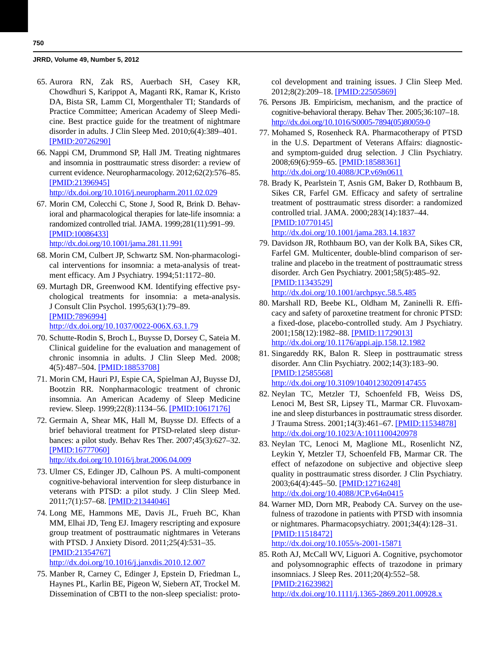- 65. Aurora RN, Zak RS, Auerbach SH, Casey KR, Chowdhuri S, Karippot A, Maganti RK, Ramar K, Kristo DA, Bista SR, Lamm CI, Morgenthaler TI; Standards of Practice Committee; American Academy of Sleep Medicine. Best practice guide for the treatment of nightmare disorder in adults. J Clin Sleep Med. 2010;6(4):389–401. [\[PMID:20726290\]](http://www.ncbi.nlm.nih.gov/entrez/query.fcgi?cmd=Retrieve&db=PubMed&list_uids=20726290&dopt=Abstract)
- 66. Nappi CM, Drummond SP, Hall JM. Treating nightmares and insomnia in posttraumatic stress disorder: a review of current evidence. Neuropharmacology. 2012;62(2):576–85. [\[PMID:21396945\]](http://www.ncbi.nlm.nih.gov/entrez/query.fcgi?cmd=Retrieve&db=PubMed&list_uids=21396945&dopt=Abstract) <http://dx.doi.org/10.1016/j.neuropharm.2011.02.029>
- 67. Morin CM, Colecchi C, Stone J, Sood R, Brink D. Behavioral and pharmacological therapies for late-life insomnia: a randomized controlled trial. JAMA. 1999;281(11):991–99. [\[PMID:10086433\]](http://www.ncbi.nlm.nih.gov/entrez/query.fcgi?cmd=Retrieve&db=PubMed&list_uids=10086433&dopt=Abstract) <http://dx.doi.org/10.1001/jama.281.11.991>
- 68. Morin CM, Culbert JP, Schwartz SM. Non-pharmacological interventions for insomnia: a meta-analysis of treatment efficacy. Am J Psychiatry. 1994;51:1172–80.
- 69. Murtagh DR, Greenwood KM. Identifying effective psychological treatments for insomnia: a meta-analysis. J Consult Clin Psychol. 1995;63(1):79–89. [\[PMID:7896994\]](http://www.ncbi.nlm.nih.gov/entrez/query.fcgi?cmd=Retrieve&db=PubMed&list_uids=7896994&dopt=Abstract) <http://dx.doi.org/10.1037/0022-006X.63.1.79>
- 70. Schutte-Rodin S, Broch L, Buysse D, Dorsey C, Sateia M. Clinical guideline for the evaluation and management of chronic insomnia in adults. J Clin Sleep Med. 2008; 4(5):487–504. [\[PMID:18853708\]](http://www.ncbi.nlm.nih.gov/entrez/query.fcgi?cmd=Retrieve&db=PubMed&list_uids=18853708&dopt=Abstract)
- 71. Morin CM, Hauri PJ, Espie CA, Spielman AJ, Buysse DJ, Bootzin RR. Nonpharmacologic treatment of chronic insomnia. An American Academy of Sleep Medicine review. Sleep. 1999;22(8):1134–56. [\[PMID:10617176\]](http://www.ncbi.nlm.nih.gov/entrez/query.fcgi?cmd=Retrieve&db=PubMed&list_uids=10617176&dopt=Abstract)
- 72. Germain A, Shear MK, Hall M, Buysse DJ. Effects of a brief behavioral treatment for PTSD-related sleep disturbances: a pilot study. Behav Res Ther. 2007;45(3):627–32. [\[PMID:16777060\]](http://www.ncbi.nlm.nih.gov/entrez/query.fcgi?cmd=Retrieve&db=PubMed&list_uids=16777060&dopt=Abstract)

<http://dx.doi.org/10.1016/j.brat.2006.04.009>

- 73. Ulmer CS, Edinger JD, Calhoun PS. A multi-component cognitive-behavioral intervention for sleep disturbance in veterans with PTSD: a pilot study. J Clin Sleep Med. 2011;7(1):57–68. [\[PMID:21344046\]](http://www.ncbi.nlm.nih.gov/entrez/query.fcgi?cmd=Retrieve&db=PubMed&list_uids=21344046&dopt=Abstract)
- 74. Long ME, Hammons ME, Davis JL, Frueh BC, Khan MM, Elhai JD, Teng EJ. Imagery rescripting and exposure group treatment of posttraumatic nightmares in Veterans with PTSD. J Anxiety Disord. 2011;25(4):531–35. [\[PMID:21354767\]](http://www.ncbi.nlm.nih.gov/entrez/query.fcgi?cmd=Retrieve&db=PubMed&list_uids=21354767&dopt=Abstract)

<http://dx.doi.org/10.1016/j.janxdis.2010.12.007>

 75. Manber R, Carney C, Edinger J, Epstein D, Friedman L, Haynes PL, Karlin BE, Pigeon W, Siebern AT, Trockel M. Dissemination of CBTI to the non-sleep specialist: protocol development and training issues. J Clin Sleep Med. 2012;8(2):209-18. [\[PMID:22505869\]](http://www.ncbi.nlm.nih.gov/entrez/query.fcgi?cmd=Retrieve&db=PubMed&list_uids=22505869&dopt=Abstract)

- 76. Persons JB. Empiricism, mechanism, and the practice of cognitive-behavioral therapy. Behav Ther. 2005;36:107–18. [http://dx.doi.org/10.1016/S0005-7894\(05\)80059-0](http://dx.doi.org/10.1016/S0005-7894(05)80059-0)
- 77. Mohamed S, Rosenheck RA. Pharmacotherapy of PTSD in the U.S. Department of Veterans Affairs: diagnosticand symptom-guided drug selection. J Clin Psychiatry. 2008;69(6):959–65. [\[PMID:18588361\]](http://www.ncbi.nlm.nih.gov/entrez/query.fcgi?cmd=Retrieve&db=PubMed&list_uids=18588361&dopt=Abstract) <http://dx.doi.org/10.4088/JCP.v69n0611>
- 78. Brady K, Pearlstein T, Asnis GM, Baker D, Rothbaum B, Sikes CR, Farfel GM. Efficacy and safety of sertraline treatment of posttraumatic stress disorder: a randomized controlled trial. JAMA. 2000;283(14):1837–44. [\[PMID:10770145\]](http://www.ncbi.nlm.nih.gov/entrez/query.fcgi?cmd=Retrieve&db=PubMed&list_uids=10770145&dopt=Abstract)

<http://dx.doi.org/10.1001/jama.283.14.1837>

- 79. Davidson JR, Rothbaum BO, van der Kolk BA, Sikes CR, Farfel GM. Multicenter, double-blind comparison of sertraline and placebo in the treatment of posttraumatic stress disorder. Arch Gen Psychiatry. 2001;58(5):485–92. [\[PMID:11343529\]](http://www.ncbi.nlm.nih.gov/entrez/query.fcgi?cmd=Retrieve&db=PubMed&list_uids=11343529&dopt=Abstract) <http://dx.doi.org/10.1001/archpsyc.58.5.485>
- 80. Marshall RD, Beebe KL, Oldham M, Zaninelli R. Efficacy and safety of paroxetine treatment for chronic PTSD: a fixed-dose, placebo-controlled study. Am J Psychiatry. 2001;158(12):1982–88. [\[PMID:11729013\]](http://www.ncbi.nlm.nih.gov/entrez/query.fcgi?cmd=Retrieve&db=PubMed&list_uids=11729013&dopt=Abstract) <http://dx.doi.org/10.1176/appi.ajp.158.12.1982>
- 81. Singareddy RK, Balon R. Sleep in posttraumatic stress disorder. Ann Clin Psychiatry. 2002;14(3):183–90. [\[PMID:12585568\]](http://www.ncbi.nlm.nih.gov/entrez/query.fcgi?cmd=Retrieve&db=PubMed&list_uids=12585568&dopt=Abstract) <http://dx.doi.org/10.3109/10401230209147455>
- 82. Neylan TC, Metzler TJ, Schoenfeld FB, Weiss DS, Lenoci M, Best SR, Lipsey TL, Marmar CR. Fluvoxamine and sleep disturbances in posttraumatic stress disorder. J Trauma Stress. 2001;14(3):461–67. [\[PMID:11534878\]](http://www.ncbi.nlm.nih.gov/entrez/query.fcgi?cmd=Retrieve&db=PubMed&list_uids=11534878&dopt=Abstract) <http://dx.doi.org/10.1023/A:1011100420978>
- 83. Neylan TC, Lenoci M, Maglione ML, Rosenlicht NZ, Leykin Y, Metzler TJ, Schoenfeld FB, Marmar CR. The effect of nefazodone on subjective and objective sleep quality in posttraumatic stress disorder. J Clin Psychiatry. 2003;64(4):445-50. [\[PMID:12716248\]](http://www.ncbi.nlm.nih.gov/entrez/query.fcgi?cmd=Retrieve&db=PubMed&list_uids=12716248&dopt=Abstract) <http://dx.doi.org/10.4088/JCP.v64n0415>
- 84. Warner MD, Dorn MR, Peabody CA. Survey on the usefulness of trazodone in patients with PTSD with insomnia or nightmares. Pharmacopsychiatry. 2001;34(4):128–31. [\[PMID:11518472\]](http://www.ncbi.nlm.nih.gov/entrez/query.fcgi?cmd=Retrieve&db=PubMed&list_uids=11518472&dopt=Abstract) <http://dx.doi.org/10.1055/s-2001-15871>
- 85. Roth AJ, McCall WV, Liguori A. Cognitive, psychomotor and polysomnographic effects of trazodone in primary insomniacs. J Sleep Res. 2011;20(4):552–58. [\[PMID:21623982\]](http://www.ncbi.nlm.nih.gov/entrez/query.fcgi?cmd=Retrieve&db=PubMed&list_uids=21623982&dopt=Abstract) <http://dx.doi.org/10.1111/j.1365-2869.2011.00928.x>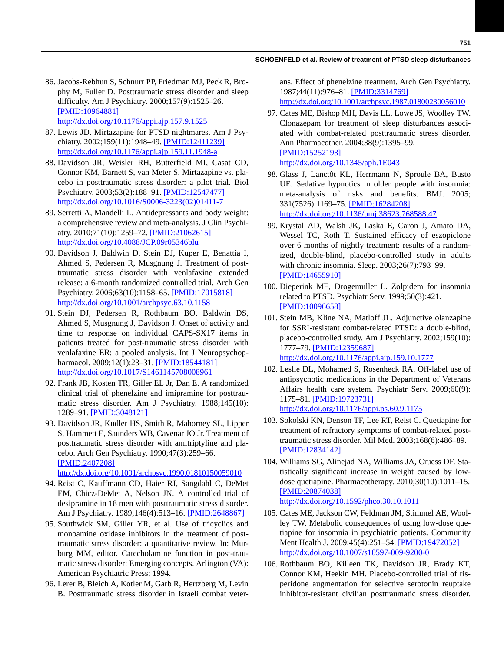- 86. Jacobs-Rebhun S, Schnurr PP, Friedman MJ, Peck R, Brophy M, Fuller D. Posttraumatic stress disorder and sleep difficulty. Am J Psychiatry. 2000;157(9):1525–26. [\[PMID:10964881\]](http://www.ncbi.nlm.nih.gov/entrez/query.fcgi?cmd=Retrieve&db=PubMed&list_uids=10964881&dopt=Abstract) <http://dx.doi.org/10.1176/appi.ajp.157.9.1525>
- 87. Lewis JD. Mirtazapine for PTSD nightmares. Am J Psychiatry. 2002;159(11):1948–49. [\[PMID:12411239\]](http://www.ncbi.nlm.nih.gov/entrez/query.fcgi?cmd=Retrieve&db=PubMed&list_uids=12411239&dopt=Abstract) <http://dx.doi.org/10.1176/appi.ajp.159.11.1948-a>
- 88. Davidson JR, Weisler RH, Butterfield MI, Casat CD, Connor KM, Barnett S, van Meter S. Mirtazapine vs. placebo in posttraumatic stress disorder: a pilot trial. Biol Psychiatry. 2003;53(2):188–91. [\[PMID:12547477\]](http://www.ncbi.nlm.nih.gov/entrez/query.fcgi?cmd=Retrieve&db=PubMed&list_uids=12547477&dopt=Abstract) [http://dx.doi.org/10.1016/S0006-3223\(02\)01411-7](http://dx.doi.org/10.1016/S0006-3223(02)01411-7)
- 89. Serretti A, Mandelli L. Antidepressants and body weight: a comprehensive review and meta-analysis. J Clin Psychiatry. 2010;71(10):1259–72. [\[PMID:21062615\]](http://www.ncbi.nlm.nih.gov/entrez/query.fcgi?cmd=Retrieve&db=PubMed&list_uids=21062615&dopt=Abstract) <http://dx.doi.org/10.4088/JCP.09r05346blu>
- 90. Davidson J, Baldwin D, Stein DJ, Kuper E, Benattia I, Ahmed S, Pedersen R, Musgnung J. Treatment of posttraumatic stress disorder with venlafaxine extended release: a 6-month randomized controlled trial. Arch Gen Psychiatry. 2006;63(10):1158–65. [\[PMID:17015818\]](http://www.ncbi.nlm.nih.gov/entrez/query.fcgi?cmd=Retrieve&db=PubMed&list_uids=17015818&dopt=Abstract) <http://dx.doi.org/10.1001/archpsyc.63.10.1158>
- 91. Stein DJ, Pedersen R, Rothbaum BO, Baldwin DS, Ahmed S, Musgnung J, Davidson J. Onset of activity and time to response on individual CAPS-SX17 items in patients treated for post-traumatic stress disorder with venlafaxine ER: a pooled analysis. Int J Neuropsychop-harmacol. 2009;12(1):23-31. [\[PMID:18544181\]](http://www.ncbi.nlm.nih.gov/entrez/query.fcgi?cmd=Retrieve&db=PubMed&list_uids=18544181&dopt=Abstract) <http://dx.doi.org/10.1017/S1461145708008961>
- 92. Frank JB, Kosten TR, Giller EL Jr, Dan E. A randomized clinical trial of phenelzine and imipramine for posttraumatic stress disorder. Am J Psychiatry. 1988;145(10): 1289–91. [\[PMID:3048121\]](http://www.ncbi.nlm.nih.gov/entrez/query.fcgi?cmd=Retrieve&db=PubMed&list_uids=3048121&dopt=Abstract)
- 93. Davidson JR, Kudler HS, Smith R, Mahorney SL, Lipper S, Hammett E, Saunders WB, Cavenar JO Jr. Treatment of posttraumatic stress disorder with amitriptyline and placebo. Arch Gen Psychiatry. 1990;47(3):259–66. [\[PMID:2407208\]](http://www.ncbi.nlm.nih.gov/entrez/query.fcgi?cmd=Retrieve&db=PubMed&list_uids=2407208&dopt=Abstract) <http://dx.doi.org/10.1001/archpsyc.1990.01810150059010>
- 94. Reist C, Kauffmann CD, Haier RJ, Sangdahl C, DeMet EM, Chicz-DeMet A, Nelson JN. A controlled trial of desipramine in 18 men with posttraumatic stress disorder. Am J Psychiatry. 1989;146(4):513–16. [\[PMID:2648867\]](http://www.ncbi.nlm.nih.gov/entrez/query.fcgi?cmd=Retrieve&db=PubMed&list_uids=2648867&dopt=Abstract)
- 95. Southwick SM, Giller YR, et al. Use of tricyclics and monoamine oxidase inhibitors in the treatment of posttraumatic stress disorder: a quantitative review. In: Murburg MM, editor. Catecholamine function in post-traumatic stress disorder: Emerging concepts. Arlington (VA): American Psychiatric Press; 1994.
- 96. Lerer B, Bleich A, Kotler M, Garb R, Hertzberg M, Levin B. Posttraumatic stress disorder in Israeli combat veter-

ans. Effect of phenelzine treatment. Arch Gen Psychiatry. 1987;44(11):976–81. [\[PMID:3314769\]](http://www.ncbi.nlm.nih.gov/entrez/query.fcgi?cmd=Retrieve&db=PubMed&list_uids=3314769&dopt=Abstract)

<http://dx.doi.org/10.1001/archpsyc.1987.01800230056010>

- 97. Cates ME, Bishop MH, Davis LL, Lowe JS, Woolley TW. Clonazepam for treatment of sleep disturbances associated with combat-related posttraumatic stress disorder. Ann Pharmacother. 2004;38(9):1395–99. [\[PMID:15252193\]](http://www.ncbi.nlm.nih.gov/entrez/query.fcgi?cmd=Retrieve&db=PubMed&list_uids=15252193&dopt=Abstract) <http://dx.doi.org/10.1345/aph.1E043>
- 98. Glass J, Lanctôt KL, Herrmann N, Sproule BA, Busto UE. Sedative hypnotics in older people with insomnia: meta-analysis of risks and benefits. BMJ. 2005; 331(7526):1169–75. [\[PMID:16284208\]](http://www.ncbi.nlm.nih.gov/entrez/query.fcgi?cmd=Retrieve&db=PubMed&list_uids=16284208&dopt=Abstract) <http://dx.doi.org/10.1136/bmj.38623.768588.47>
- 99. Krystal AD, Walsh JK, Laska E, Caron J, Amato DA, Wessel TC, Roth T. Sustained efficacy of eszopiclone over 6 months of nightly treatment: results of a randomized, double-blind, placebo-controlled study in adults with chronic insomnia. Sleep. 2003;26(7):793–99. [\[PMID:14655910\]](http://www.ncbi.nlm.nih.gov/entrez/query.fcgi?cmd=Retrieve&db=PubMed&list_uids=14655910&dopt=Abstract)
- 100. Dieperink ME, Drogemuller L. Zolpidem for insomnia related to PTSD. Psychiatr Serv. 1999;50(3):421. [\[PMID:10096658\]](http://www.ncbi.nlm.nih.gov/entrez/query.fcgi?cmd=Retrieve&db=PubMed&list_uids=10096658&dopt=Abstract)
- 101. Stein MB, Kline NA, Matloff JL. Adjunctive olanzapine for SSRI-resistant combat-related PTSD: a double-blind, placebo-controlled study. Am J Psychiatry. 2002;159(10): 1777–79. [\[PMID:12359687\]](http://www.ncbi.nlm.nih.gov/entrez/query.fcgi?cmd=Retrieve&db=PubMed&list_uids=12359687&dopt=Abstract) <http://dx.doi.org/10.1176/appi.ajp.159.10.1777>
- 102. Leslie DL, Mohamed S, Rosenheck RA. Off-label use of antipsychotic medications in the Department of Veterans Affairs health care system. Psychiatr Serv. 2009;60(9): 1175–81. [\[PMID:19723731\]](http://www.ncbi.nlm.nih.gov/entrez/query.fcgi?cmd=Retrieve&db=PubMed&list_uids=19723731&dopt=Abstract) <http://dx.doi.org/10.1176/appi.ps.60.9.1175>
- 103. Sokolski KN, Denson TF, Lee RT, Reist C. Quetiapine for treatment of refractory symptoms of combat-related posttraumatic stress disorder. Mil Med. 2003;168(6):486–89. [\[PMID:12834142\]](http://www.ncbi.nlm.nih.gov/entrez/query.fcgi?cmd=Retrieve&db=PubMed&list_uids=12834142&dopt=Abstract)
- 104. Williams SG , Alinejad NA, Williams JA, Cruess DF. Statistically significant increase in weight caused by lowdose quetiapine. Pharmacotherapy. 2010;30(10):1011–15. [\[PMID:20874038\]](http://www.ncbi.nlm.nih.gov/entrez/query.fcgi?cmd=Retrieve&db=PubMed&list_uids=20874038&dopt=Abstract) <http://dx.doi.org/10.1592/phco.30.10.1011>
- 105. Cates ME, Jackson CW, Feldman JM, Stimmel AE, Woolley TW. Metabolic consequences of using low-dose quetiapine for insomnia in psychiatric patients. Community Ment Health J. 2009;45(4):251–54. [\[PMID:19472052\]](http://www.ncbi.nlm.nih.gov/entrez/query.fcgi?cmd=Retrieve&db=PubMed&list_uids=19472052&dopt=Abstract) <http://dx.doi.org/10.1007/s10597-009-9200-0>
- 106. Rothbaum BO, Killeen TK, Davidson JR, Brady KT, Connor KM, Heekin MH. Placebo-controlled trial of risperidone augmentation for selective serotonin reuptake inhibitor-resistant civilian posttraumatic stress disorder.